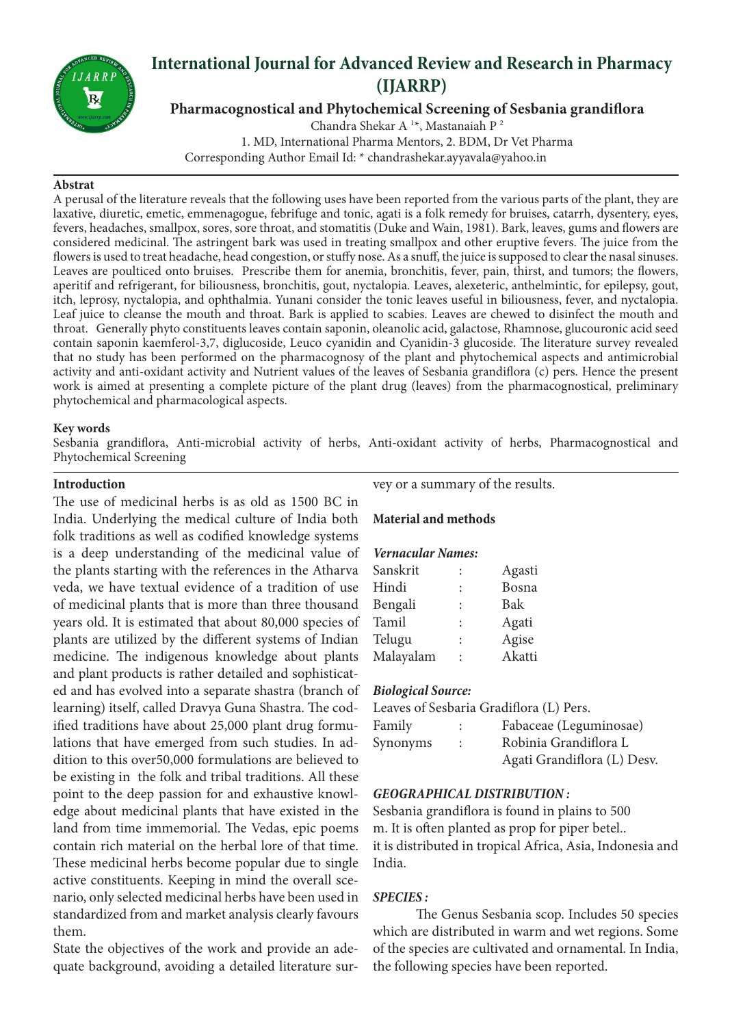

# **International Journal for Advanced Review and Research in Pharmacy (IJARRP)**

**Pharmacognostical and Phytochemical Screening of Sesbania grandiflora**

Chandra Shekar A<sup>1\*</sup>, Mastanaiah P<sup>2</sup> 1. MD, International Pharma Mentors, 2. BDM, Dr Vet Pharma Corresponding Author Email Id: \* chandrashekar.ayyavala@yahoo.in

#### **Abstrat**

A perusal of the literature reveals that the following uses have been reported from the various parts of the plant, they are laxative, diuretic, emetic, emmenagogue, febrifuge and tonic, agati is a folk remedy for bruises, catarrh, dysentery, eyes, fevers, headaches, smallpox, sores, sore throat, and stomatitis (Duke and Wain, 1981). Bark, leaves, gums and flowers are considered medicinal. The astringent bark was used in treating smallpox and other eruptive fevers. The juice from the flowers is used to treat headache, head congestion, or stuffy nose. As a snuff, the juice is supposed to clear the nasal sinuses. Leaves are poulticed onto bruises. Prescribe them for anemia, bronchitis, fever, pain, thirst, and tumors; the flowers, aperitif and refrigerant, for biliousness, bronchitis, gout, nyctalopia. Leaves, alexeteric, anthelmintic, for epilepsy, gout, itch, leprosy, nyctalopia, and ophthalmia. Yunani consider the tonic leaves useful in biliousness, fever, and nyctalopia. Leaf juice to cleanse the mouth and throat. Bark is applied to scabies. Leaves are chewed to disinfect the mouth and throat. Generally phyto constituents leaves contain saponin, oleanolic acid, galactose, Rhamnose, glucouronic acid seed contain saponin kaemferol-3,7, diglucoside, Leuco cyanidin and Cyanidin-3 glucoside. The literature survey revealed that no study has been performed on the pharmacognosy of the plant and phytochemical aspects and antimicrobial activity and anti-oxidant activity and Nutrient values of the leaves of Sesbania grandiflora (c) pers. Hence the present work is aimed at presenting a complete picture of the plant drug (leaves) from the pharmacognostical, preliminary phytochemical and pharmacological aspects.

#### **Key words**

Sesbania grandiflora, Anti-microbial activity of herbs, Anti-oxidant activity of herbs, Pharmacognostical and Phytochemical Screening

#### **Introduction**

The use of medicinal herbs is as old as 1500 BC in India. Underlying the medical culture of India both folk traditions as well as codified knowledge systems is a deep understanding of the medicinal value of the plants starting with the references in the Atharva veda, we have textual evidence of a tradition of use of medicinal plants that is more than three thousand years old. It is estimated that about 80,000 species of plants are utilized by the different systems of Indian medicine. The indigenous knowledge about plants and plant products is rather detailed and sophisticated and has evolved into a separate shastra (branch of learning) itself, called Dravya Guna Shastra. The codified traditions have about 25,000 plant drug formulations that have emerged from such studies. In addition to this over50,000 formulations are believed to be existing in the folk and tribal traditions. All these point to the deep passion for and exhaustive knowledge about medicinal plants that have existed in the land from time immemorial. The Vedas, epic poems contain rich material on the herbal lore of that time. These medicinal herbs become popular due to single active constituents. Keeping in mind the overall scenario, only selected medicinal herbs have been used in standardized from and market analysis clearly favours them.

State the objectives of the work and provide an adequate background, avoiding a detailed literature survey or a summary of the results.

#### **Material and methods**

#### *Vernacular Names:*

| Sanskrit  |                      | Agasti |
|-----------|----------------------|--------|
| Hindi     | $\ddot{\phantom{a}}$ | Bosna  |
| Bengali   | $\ddot{\cdot}$       | Bak    |
| Tamil     |                      | Agati  |
| Telugu    | $\ddot{\phantom{a}}$ | Agise  |
| Malayalam |                      | Akatti |

#### *Biological Source:*

|          |                | Leaves of Sesbaria Gradiflora (L) Pers. |
|----------|----------------|-----------------------------------------|
| Family   |                | Fabaceae (Leguminosae)                  |
| Synonyms | $\mathbb{R}^n$ | Robinia Grandiflora L                   |
|          |                | Agati Grandiflora (L) Desv.             |

#### *GEOGRAPHICAL DISTRIBUTION :*

Sesbania grandiflora is found in plains to 500 m. It is often planted as prop for piper betel.. it is distributed in tropical Africa, Asia, Indonesia and India.

#### *SPECIES :*

The Genus Sesbania scop. Includes 50 species which are distributed in warm and wet regions. Some of the species are cultivated and ornamental. In India, the following species have been reported.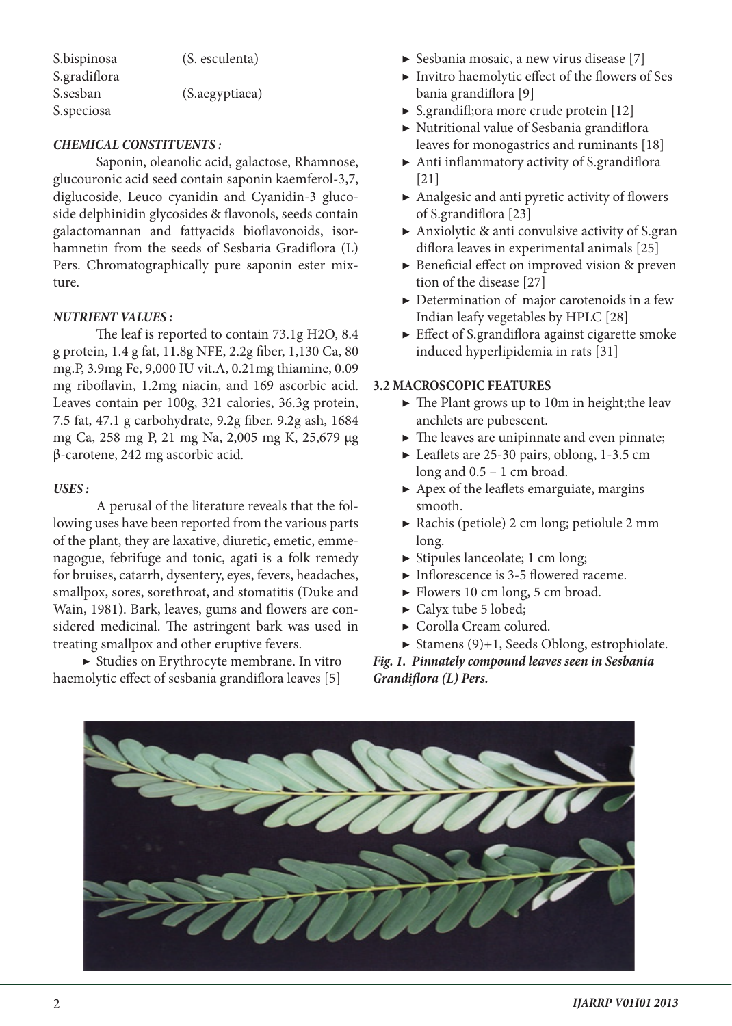S.bispinosa (S. esculenta) S.gradiflora

S.sesban (S.aegyptiaea)

#### *CHEMICAL CONSTITUENTS :*

S.speciosa

Saponin, oleanolic acid, galactose, Rhamnose, glucouronic acid seed contain saponin kaemferol-3,7, diglucoside, Leuco cyanidin and Cyanidin-3 glucoside delphinidin glycosides & flavonols, seeds contain galactomannan and fattyacids bioflavonoids, isorhamnetin from the seeds of Sesbaria Gradiflora (L) Pers. Chromatographically pure saponin ester mixture.

#### *NUTRIENT VALUES :*

The leaf is reported to contain 73.1g H2O, 8.4 g protein, 1.4 g fat, 11.8g NFE, 2.2g fiber, 1,130 Ca, 80 mg.P, 3.9mg Fe, 9,000 IU vit.A, 0.21mg thiamine, 0.09 mg riboflavin, 1.2mg niacin, and 169 ascorbic acid. Leaves contain per 100g, 321 calories, 36.3g protein, 7.5 fat, 47.1 g carbohydrate, 9.2g fiber. 9.2g ash, 1684 mg Ca, 258 mg P, 21 mg Na, 2,005 mg K, 25,679 µg β-carotene, 242 mg ascorbic acid.

#### *USES :*

A perusal of the literature reveals that the following uses have been reported from the various parts of the plant, they are laxative, diuretic, emetic, emmenagogue, febrifuge and tonic, agati is a folk remedy for bruises, catarrh, dysentery, eyes, fevers, headaches, smallpox, sores, sorethroat, and stomatitis (Duke and Wain, 1981). Bark, leaves, gums and flowers are considered medicinal. The astringent bark was used in treating smallpox and other eruptive fevers.

▶ Studies on Erythrocyte membrane. In vitro haemolytic effect of sesbania grandiflora leaves [5]

- ▶ Sesbania mosaic, a new virus disease [7]
- ▶ Invitro haemolytic effect of the flowers of Ses bania grandiflora [9]
- ▶ S.grandifl;ora more crude protein [12]
- ▶ Nutritional value of Sesbania grandiflora leaves for monogastrics and ruminants [18]
- ▶ Anti inflammatory activity of S.grandiflora [21]
- ▶ Analgesic and anti pyretic activity of flowers of S.grandiflora [23]
- $\triangleright$  Anxiolytic & anti convulsive activity of S.gran diflora leaves in experimental animals [25]
- ▶ Beneficial effect on improved vision & preven tion of the disease [27]
- $\triangleright$  Determination of major carotenoids in a few Indian leafy vegetables by HPLC [28]
- $\blacktriangleright$  Effect of S.grandiflora against cigarette smoke induced hyperlipidemia in rats [31]

#### **3.2 MACROSCOPIC FEATURES**

- $\blacktriangleright$  The Plant grows up to 10m in height; the leav anchlets are pubescent.
- ▶ The leaves are unipinnate and even pinnate;
- ▶ Leaflets are 25-30 pairs, oblong, 1-3.5 cm long and 0.5 – 1 cm broad.
- $\blacktriangleright$  Apex of the leaflets emarguiate, margins smooth.
- ▶ Rachis (petiole) 2 cm long; petiolule 2 mm long.
- $\triangleright$  Stipules lanceolate; 1 cm long;
- $\blacktriangleright$  Inflorescence is 3-5 flowered raceme.
- ▶ Flowers 10 cm long, 5 cm broad.
- ▶ Calyx tube 5 lobed;
- ▶ Corolla Cream colured.
- $\triangleright$  Stamens (9)+1, Seeds Oblong, estrophiolate.

*Fig. 1. Pinnately compound leaves seen in Sesbania Grandiflora (L) Pers.*

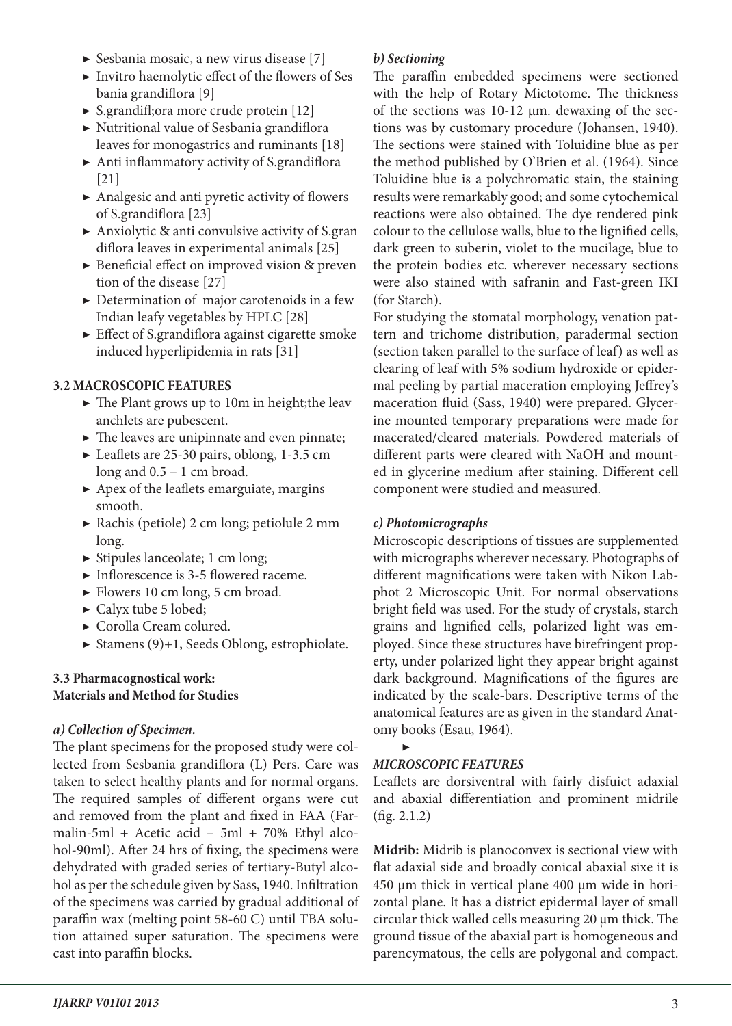- ▶ Sesbania mosaic, a new virus disease [7]
- ▶ Invitro haemolytic effect of the flowers of Ses bania grandiflora [9]
- ▶ S.grandifl;ora more crude protein [12]
- ▶ Nutritional value of Sesbania grandiflora leaves for monogastrics and ruminants [18]
- ▶ Anti inflammatory activity of S.grandiflora [21]
- ▶ Analgesic and anti pyretic activity of flowers of S.grandiflora [23]
- $\triangleright$  Anxiolytic & anti convulsive activity of S.gran diflora leaves in experimental animals [25]
- ▶ Beneficial effect on improved vision & preven tion of the disease [27]
- $\triangleright$  Determination of major carotenoids in a few Indian leafy vegetables by HPLC [28]
- ▶ Effect of S.grandiflora against cigarette smoke induced hyperlipidemia in rats [31]

# **3.2 MACROSCOPIC FEATURES**

- ▶ The Plant grows up to 10m in height; the leav anchlets are pubescent.
- ▶ The leaves are unipinnate and even pinnate;
- ▶ Leaflets are 25-30 pairs, oblong, 1-3.5 cm long and 0.5 – 1 cm broad.
- $\blacktriangleright$  Apex of the leaflets emarguiate, margins smooth.
- ▶ Rachis (petiole) 2 cm long; petiolule 2 mm long.
- ▶ Stipules lanceolate; 1 cm long;
- ▶ Inflorescence is 3-5 flowered raceme.
- $\blacktriangleright$  Flowers 10 cm long, 5 cm broad.
- $\blacktriangleright$  Calyx tube 5 lobed;
- ▶ Corolla Cream colured.
- $\triangleright$  Stamens (9)+1, Seeds Oblong, estrophiolate.

#### **3.3 Pharmacognostical work: Materials and Method for Studies**

# *a) Collection of Specimen.*

The plant specimens for the proposed study were collected from Sesbania grandiflora (L) Pers. Care was taken to select healthy plants and for normal organs. The required samples of different organs were cut and removed from the plant and fixed in FAA (Farmalin-5ml + Acetic acid – 5ml + 70% Ethyl alcohol-90ml). After 24 hrs of fixing, the specimens were dehydrated with graded series of tertiary-Butyl alcohol as per the schedule given by Sass, 1940. Infiltration of the specimens was carried by gradual additional of paraffin wax (melting point 58-60 C) until TBA solution attained super saturation. The specimens were cast into paraffin blocks.

# *b) Sectioning*

The paraffin embedded specimens were sectioned with the help of Rotary Mictotome. The thickness of the sections was 10-12 µm. dewaxing of the sections was by customary procedure (Johansen, 1940). The sections were stained with Toluidine blue as per the method published by O'Brien et al. (1964). Since Toluidine blue is a polychromatic stain, the staining results were remarkably good; and some cytochemical reactions were also obtained. The dye rendered pink colour to the cellulose walls, blue to the lignified cells, dark green to suberin, violet to the mucilage, blue to the protein bodies etc. wherever necessary sections were also stained with safranin and Fast-green IKI (for Starch).

For studying the stomatal morphology, venation pattern and trichome distribution, paradermal section (section taken parallel to the surface of leaf) as well as clearing of leaf with 5% sodium hydroxide or epidermal peeling by partial maceration employing Jeffrey's maceration fluid (Sass, 1940) were prepared. Glycerine mounted temporary preparations were made for macerated/cleared materials. Powdered materials of different parts were cleared with NaOH and mounted in glycerine medium after staining. Different cell component were studied and measured.

# *c) Photomicrographs*

Microscopic descriptions of tissues are supplemented with micrographs wherever necessary. Photographs of different magnifications were taken with Nikon Labphot 2 Microscopic Unit. For normal observations bright field was used. For the study of crystals, starch grains and lignified cells, polarized light was employed. Since these structures have birefringent property, under polarized light they appear bright against dark background. Magnifications of the figures are indicated by the scale-bars. Descriptive terms of the anatomical features are as given in the standard Anatomy books (Esau, 1964).

#### ▶ *MICROSCOPIC FEATURES*

Leaflets are dorsiventral with fairly disfuict adaxial and abaxial differentiation and prominent midrile (fig. 2.1.2)

**Midrib:** Midrib is planoconvex is sectional view with flat adaxial side and broadly conical abaxial sixe it is 450 µm thick in vertical plane 400 µm wide in horizontal plane. It has a district epidermal layer of small circular thick walled cells measuring 20 µm thick. The ground tissue of the abaxial part is homogeneous and parencymatous, the cells are polygonal and compact.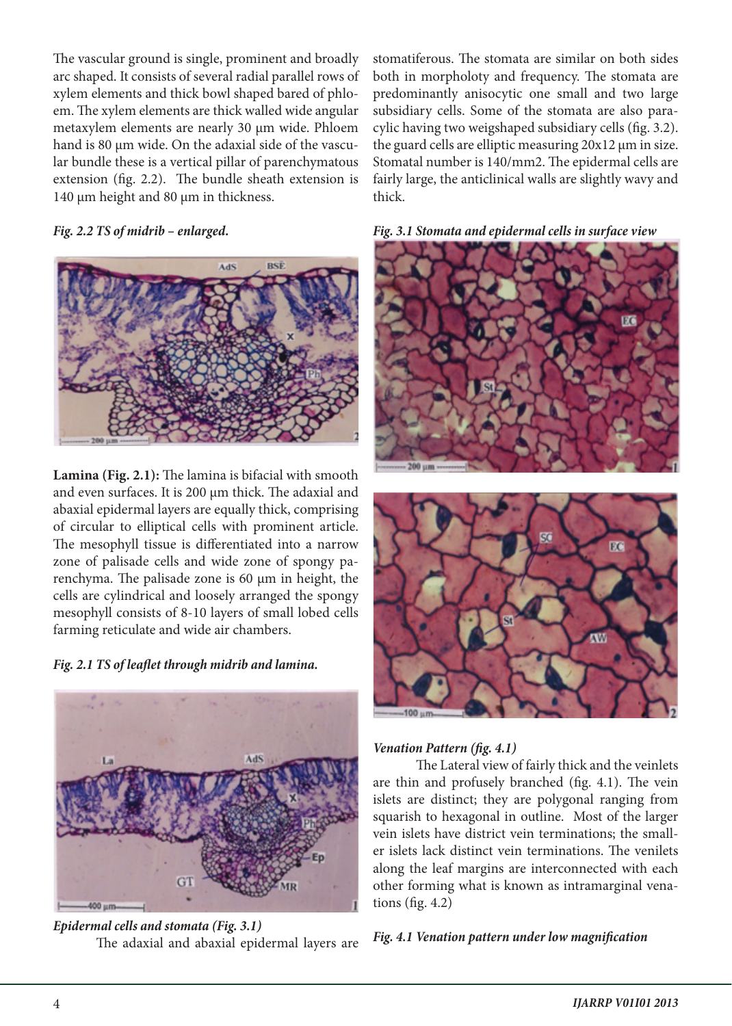The vascular ground is single, prominent and broadly arc shaped. It consists of several radial parallel rows of xylem elements and thick bowl shaped bared of phloem. The xylem elements are thick walled wide angular metaxylem elements are nearly 30 µm wide. Phloem hand is 80 µm wide. On the adaxial side of the vascular bundle these is a vertical pillar of parenchymatous extension (fig. 2.2). The bundle sheath extension is 140 µm height and 80 µm in thickness.

### *Fig. 2.2 TS of midrib – enlarged.*



**Lamina (Fig. 2.1):** The lamina is bifacial with smooth and even surfaces. It is 200 µm thick. The adaxial and abaxial epidermal layers are equally thick, comprising of circular to elliptical cells with prominent article. The mesophyll tissue is differentiated into a narrow zone of palisade cells and wide zone of spongy parenchyma. The palisade zone is 60 µm in height, the cells are cylindrical and loosely arranged the spongy mesophyll consists of 8-10 layers of small lobed cells farming reticulate and wide air chambers.

*Fig. 2.1 TS of leaflet through midrib and lamina.*



*Epidermal cells and stomata (Fig. 3.1)* The adaxial and abaxial epidermal layers are

stomatiferous. The stomata are similar on both sides both in morpholoty and frequency. The stomata are predominantly anisocytic one small and two large subsidiary cells. Some of the stomata are also paracylic having two weigshaped subsidiary cells (fig. 3.2). the guard cells are elliptic measuring 20x12 µm in size. Stomatal number is 140/mm2. The epidermal cells are fairly large, the anticlinical walls are slightly wavy and thick.







# *Venation Pattern (fig. 4.1)*

The Lateral view of fairly thick and the veinlets are thin and profusely branched (fig. 4.1). The vein islets are distinct; they are polygonal ranging from squarish to hexagonal in outline. Most of the larger vein islets have district vein terminations; the smaller islets lack distinct vein terminations. The venilets along the leaf margins are interconnected with each other forming what is known as intramarginal venations (fig. 4.2)

# *Fig. 4.1 Venation pattern under low magnification*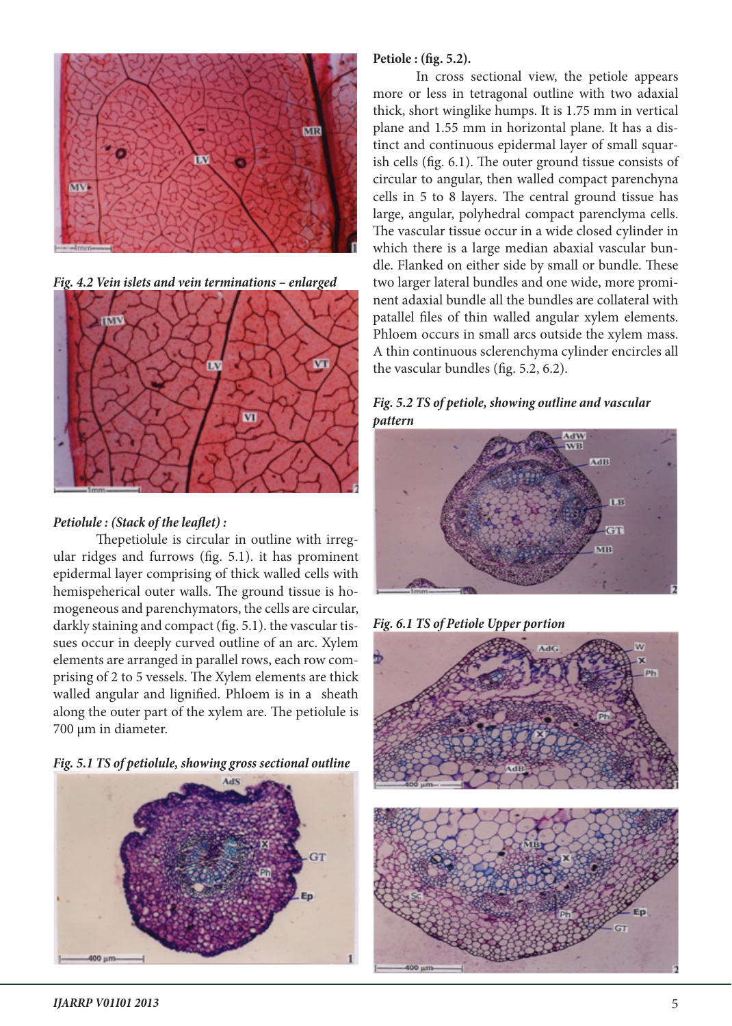

*Fig. 4.2 Vein islets and vein terminations – enlarged*



# *Petiolule : (Stack of the leaflet) :*

Thepetiolule is circular in outline with irregular ridges and furrows (fig. 5.1). it has prominent epidermal layer comprising of thick walled cells with hemispeherical outer walls. The ground tissue is homogeneous and parenchymators, the cells are circular, darkly staining and compact (fig. 5.1). the vascular tissues occur in deeply curved outline of an arc. Xylem elements are arranged in parallel rows, each row comprising of 2 to 5 vessels. The Xylem elements are thick walled angular and lignified. Phloem is in a sheath along the outer part of the xylem are. The petiolule is 700 µm in diameter.

*Fig. 5.1 TS of petiolule, showing gross sectional outline*



#### **Petiole : (fig. 5.2).**

In cross sectional view, the petiole appears more or less in tetragonal outline with two adaxial thick, short winglike humps. It is 1.75 mm in vertical plane and 1.55 mm in horizontal plane. It has a distinct and continuous epidermal layer of small squarish cells (fig. 6.1). The outer ground tissue consists of circular to angular, then walled compact parenchyna cells in 5 to 8 layers. The central ground tissue has large, angular, polyhedral compact parenclyma cells. The vascular tissue occur in a wide closed cylinder in which there is a large median abaxial vascular bundle. Flanked on either side by small or bundle. These two larger lateral bundles and one wide, more prominent adaxial bundle all the bundles are collateral with patallel files of thin walled angular xylem elements. Phloem occurs in small arcs outside the xylem mass. A thin continuous sclerenchyma cylinder encircles all the vascular bundles (fig. 5.2, 6.2).

# *Fig. 5.2 TS of petiole, showing outline and vascular pattern*



*Fig. 6.1 TS of Petiole Upper portion*

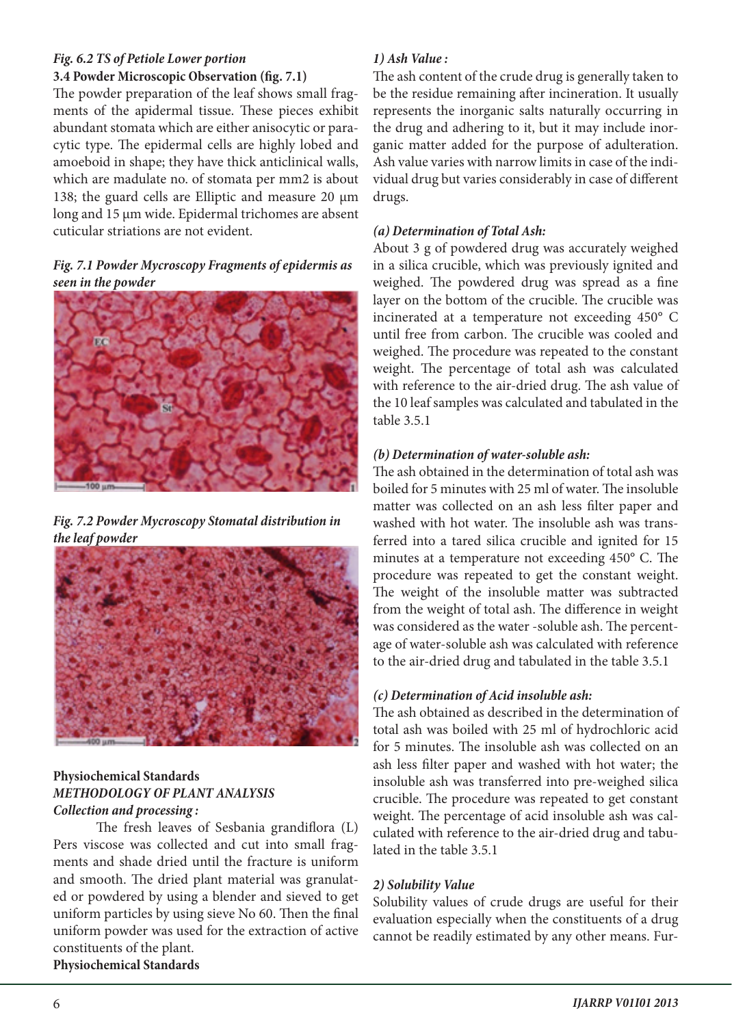#### *Fig. 6.2 TS of Petiole Lower portion* **3.4 Powder Microscopic Observation (fig. 7.1)**

The powder preparation of the leaf shows small fragments of the apidermal tissue. These pieces exhibit abundant stomata which are either anisocytic or paracytic type. The epidermal cells are highly lobed and amoeboid in shape; they have thick anticlinical walls, which are madulate no. of stomata per mm2 is about 138; the guard cells are Elliptic and measure 20 µm long and 15 µm wide. Epidermal trichomes are absent cuticular striations are not evident.

# *Fig. 7.1 Powder Mycroscopy Fragments of epidermis as seen in the powder*



*Fig. 7.2 Powder Mycroscopy Stomatal distribution in the leaf powder*



#### **Physiochemical Standards** *METHODOLOGY OF PLANT ANALYSIS Collection and processing :*

The fresh leaves of Sesbania grandiflora (L) Pers viscose was collected and cut into small fragments and shade dried until the fracture is uniform and smooth. The dried plant material was granulated or powdered by using a blender and sieved to get uniform particles by using sieve No 60. Then the final uniform powder was used for the extraction of active constituents of the plant. **Physiochemical Standards**

# *1) Ash Value :*

The ash content of the crude drug is generally taken to be the residue remaining after incineration. It usually represents the inorganic salts naturally occurring in the drug and adhering to it, but it may include inorganic matter added for the purpose of adulteration. Ash value varies with narrow limits in case of the individual drug but varies considerably in case of different drugs.

# *(a) Determination of Total Ash:*

About 3 g of powdered drug was accurately weighed in a silica crucible, which was previously ignited and weighed. The powdered drug was spread as a fine layer on the bottom of the crucible. The crucible was incinerated at a temperature not exceeding 450° C until free from carbon. The crucible was cooled and weighed. The procedure was repeated to the constant weight. The percentage of total ash was calculated with reference to the air-dried drug. The ash value of the 10 leaf samples was calculated and tabulated in the table 3.5.1

# *(b) Determination of water-soluble ash:*

The ash obtained in the determination of total ash was boiled for 5 minutes with 25 ml of water. The insoluble matter was collected on an ash less filter paper and washed with hot water. The insoluble ash was transferred into a tared silica crucible and ignited for 15 minutes at a temperature not exceeding 450° C. The procedure was repeated to get the constant weight. The weight of the insoluble matter was subtracted from the weight of total ash. The difference in weight was considered as the water -soluble ash. The percentage of water-soluble ash was calculated with reference to the air-dried drug and tabulated in the table 3.5.1

# *(c) Determination of Acid insoluble ash:*

The ash obtained as described in the determination of total ash was boiled with 25 ml of hydrochloric acid for 5 minutes. The insoluble ash was collected on an ash less filter paper and washed with hot water; the insoluble ash was transferred into pre-weighed silica crucible. The procedure was repeated to get constant weight. The percentage of acid insoluble ash was calculated with reference to the air-dried drug and tabulated in the table 3.5.1

# *2) Solubility Value*

Solubility values of crude drugs are useful for their evaluation especially when the constituents of a drug cannot be readily estimated by any other means. Fur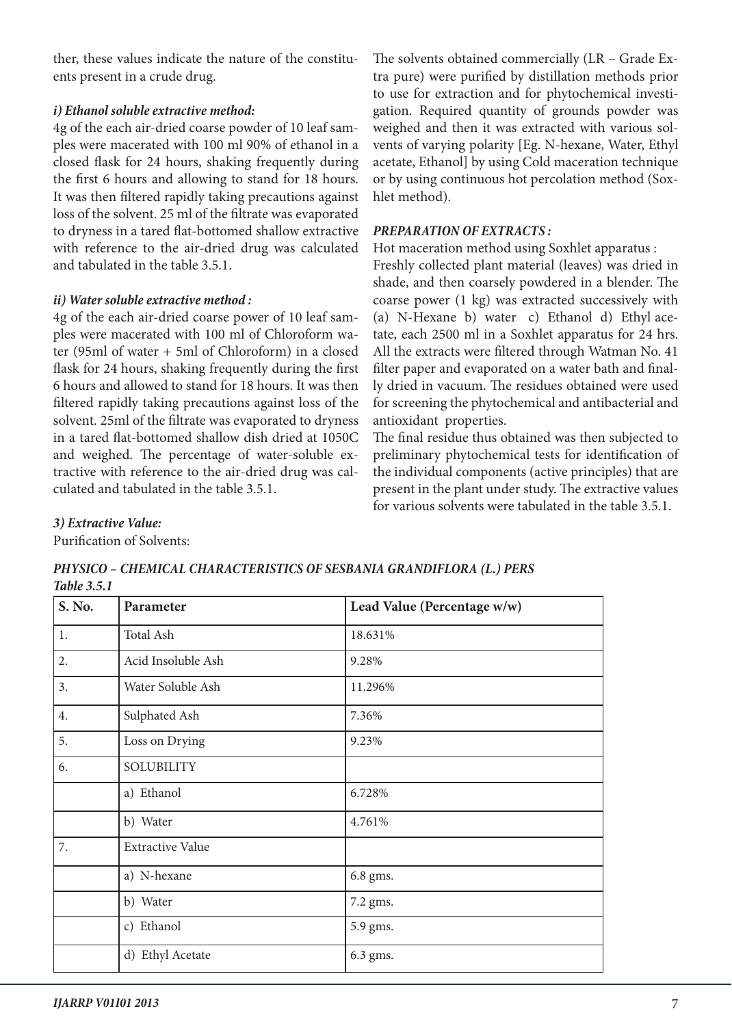ther, these values indicate the nature of the constituents present in a crude drug.

#### *i) Ethanol soluble extractive method:*

4g of the each air-dried coarse powder of 10 leaf samples were macerated with 100 ml 90% of ethanol in a closed flask for 24 hours, shaking frequently during the first 6 hours and allowing to stand for 18 hours. It was then filtered rapidly taking precautions against loss of the solvent. 25 ml of the filtrate was evaporated to dryness in a tared flat-bottomed shallow extractive with reference to the air-dried drug was calculated and tabulated in the table 3.5.1.

#### *ii) Water soluble extractive method :*

4g of the each air-dried coarse power of 10 leaf samples were macerated with 100 ml of Chloroform water (95ml of water + 5ml of Chloroform) in a closed flask for 24 hours, shaking frequently during the first 6 hours and allowed to stand for 18 hours. It was then filtered rapidly taking precautions against loss of the solvent. 25ml of the filtrate was evaporated to dryness in a tared flat-bottomed shallow dish dried at 1050C and weighed. The percentage of water-soluble extractive with reference to the air-dried drug was calculated and tabulated in the table 3.5.1.

The solvents obtained commercially (LR – Grade Extra pure) were purified by distillation methods prior to use for extraction and for phytochemical investigation. Required quantity of grounds powder was weighed and then it was extracted with various solvents of varying polarity [Eg. N-hexane, Water, Ethyl acetate, Ethanol] by using Cold maceration technique or by using continuous hot percolation method (Soxhlet method).

# *PREPARATION OF EXTRACTS :*

Hot maceration method using Soxhlet apparatus : Freshly collected plant material (leaves) was dried in shade, and then coarsely powdered in a blender. The coarse power (1 kg) was extracted successively with (a) N-Hexane b) water c) Ethanol d) Ethyl acetate, each 2500 ml in a Soxhlet apparatus for 24 hrs. All the extracts were filtered through Watman No. 41 filter paper and evaporated on a water bath and finally dried in vacuum. The residues obtained were used for screening the phytochemical and antibacterial and antioxidant properties.

The final residue thus obtained was then subjected to preliminary phytochemical tests for identification of the individual components (active principles) that are present in the plant under study. The extractive values for various solvents were tabulated in the table 3.5.1.

#### *3) Extractive Value:*

Purification of Solvents:

*PHYSICO – CHEMICAL CHARACTERISTICS OF SESBANIA GRANDIFLORA (L.) PERS Table 3.5.1*

| S. No. | Parameter               | Lead Value (Percentage w/w) |
|--------|-------------------------|-----------------------------|
| 1.     | Total Ash               | 18.631%                     |
| 2.     | Acid Insoluble Ash      | 9.28%                       |
| 3.     | Water Soluble Ash       | 11.296%                     |
| 4.     | Sulphated Ash           | 7.36%                       |
| 5.     | Loss on Drying          | 9.23%                       |
| 6.     | <b>SOLUBILITY</b>       |                             |
|        | a) Ethanol              | 6.728%                      |
|        | b) Water                | 4.761%                      |
| 7.     | <b>Extractive Value</b> |                             |
|        | a) N-hexane             | 6.8 gms.                    |
|        | b) Water                | 7.2 gms.                    |
|        | c) Ethanol              | 5.9 gms.                    |
|        | d) Ethyl Acetate        | 6.3 gms.                    |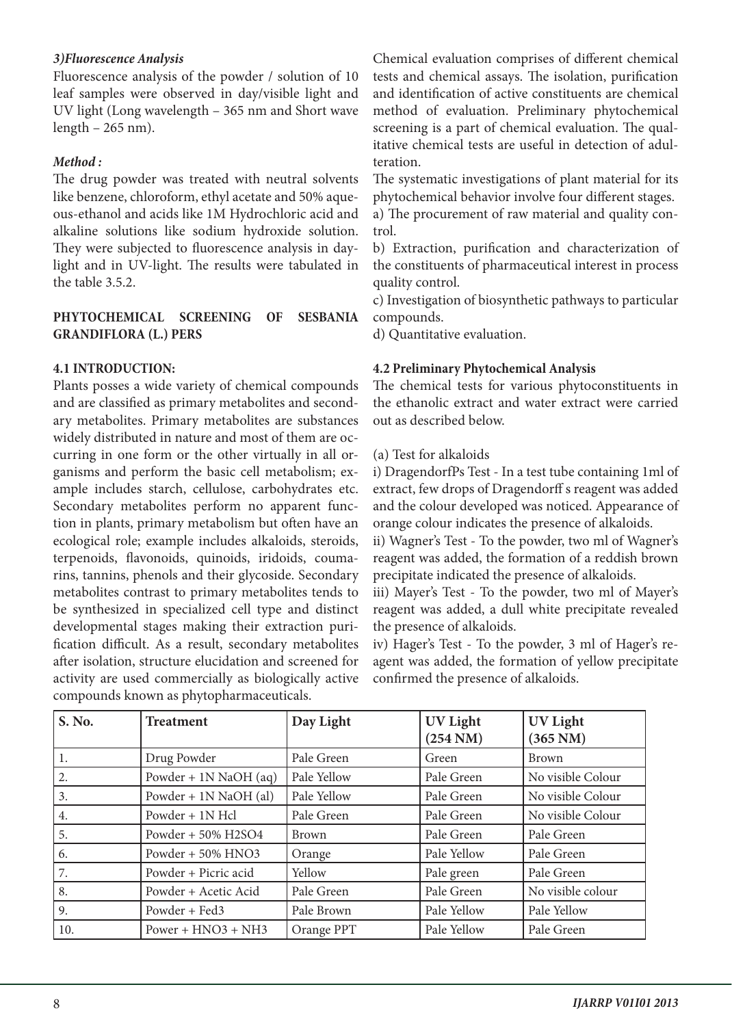#### *3)Fluorescence Analysis*

Fluorescence analysis of the powder / solution of 10 leaf samples were observed in day/visible light and UV light (Long wavelength – 365 nm and Short wave length – 265 nm).

### *Method :*

The drug powder was treated with neutral solvents like benzene, chloroform, ethyl acetate and 50% aqueous-ethanol and acids like 1M Hydrochloric acid and alkaline solutions like sodium hydroxide solution. They were subjected to fluorescence analysis in daylight and in UV-light. The results were tabulated in the table 3.5.2.

### **PHYTOCHEMICAL SCREENING OF SESBANIA GRANDIFLORA (L.) PERS**

#### **4.1 INTRODUCTION:**

Plants posses a wide variety of chemical compounds and are classified as primary metabolites and secondary metabolites. Primary metabolites are substances widely distributed in nature and most of them are occurring in one form or the other virtually in all organisms and perform the basic cell metabolism; example includes starch, cellulose, carbohydrates etc. Secondary metabolites perform no apparent function in plants, primary metabolism but often have an ecological role; example includes alkaloids, steroids, terpenoids, flavonoids, quinoids, iridoids, coumarins, tannins, phenols and their glycoside. Secondary metabolites contrast to primary metabolites tends to be synthesized in specialized cell type and distinct developmental stages making their extraction purification difficult. As a result, secondary metabolites after isolation, structure elucidation and screened for activity are used commercially as biologically active compounds known as phytopharmaceuticals.

Chemical evaluation comprises of different chemical tests and chemical assays. The isolation, purification and identification of active constituents are chemical method of evaluation. Preliminary phytochemical screening is a part of chemical evaluation. The qualitative chemical tests are useful in detection of adulteration.

The systematic investigations of plant material for its phytochemical behavior involve four different stages. a) The procurement of raw material and quality con-

b) Extraction, purification and characterization of the constituents of pharmaceutical interest in process quality control.

c) Investigation of biosynthetic pathways to particular compounds.

d) Quantitative evaluation.

trol.

#### **4.2 Preliminary Phytochemical Analysis**

The chemical tests for various phytoconstituents in the ethanolic extract and water extract were carried out as described below.

#### (a) Test for alkaloids

i) DragendorfPs Test - In a test tube containing 1ml of extract, few drops of Dragendorff s reagent was added and the colour developed was noticed. Appearance of orange colour indicates the presence of alkaloids.

ii) Wagner's Test - To the powder, two ml of Wagner's reagent was added, the formation of a reddish brown precipitate indicated the presence of alkaloids.

iii) Mayer's Test - To the powder, two ml of Mayer's reagent was added, a dull white precipitate revealed the presence of alkaloids.

iv) Hager's Test - To the powder, 3 ml of Hager's reagent was added, the formation of yellow precipitate confirmed the presence of alkaloids.

| S. No. | <b>Treatment</b>        | Day Light   | <b>UV Light</b><br>$(254 \text{ NM})$ | <b>UV Light</b><br>$(365 \text{ NM})$ |
|--------|-------------------------|-------------|---------------------------------------|---------------------------------------|
| 1.     | Drug Powder             | Pale Green  | Green                                 | <b>Brown</b>                          |
| 2.     | Powder + $1N$ NaOH (aq) | Pale Yellow | Pale Green                            | No visible Colour                     |
| 3.     | Powder + 1N NaOH (al)   | Pale Yellow | Pale Green                            | No visible Colour                     |
| 4.     | Powder + 1N Hcl         | Pale Green  | Pale Green                            | No visible Colour                     |
| 5.     | Powder + 50% H2SO4      | Brown       | Pale Green                            | Pale Green                            |
| 6.     | Powder + 50% HNO3       | Orange      | Pale Yellow                           | Pale Green                            |
| 7.     | Powder + Picric acid    | Yellow      | Pale green                            | Pale Green                            |
| 8.     | Powder + Acetic Acid    | Pale Green  | Pale Green                            | No visible colour                     |
| 9.     | Powder + Fed3           | Pale Brown  | Pale Yellow                           | Pale Yellow                           |
| 10.    | $Power + HNO3 + NH3$    | Orange PPT  | Pale Yellow                           | Pale Green                            |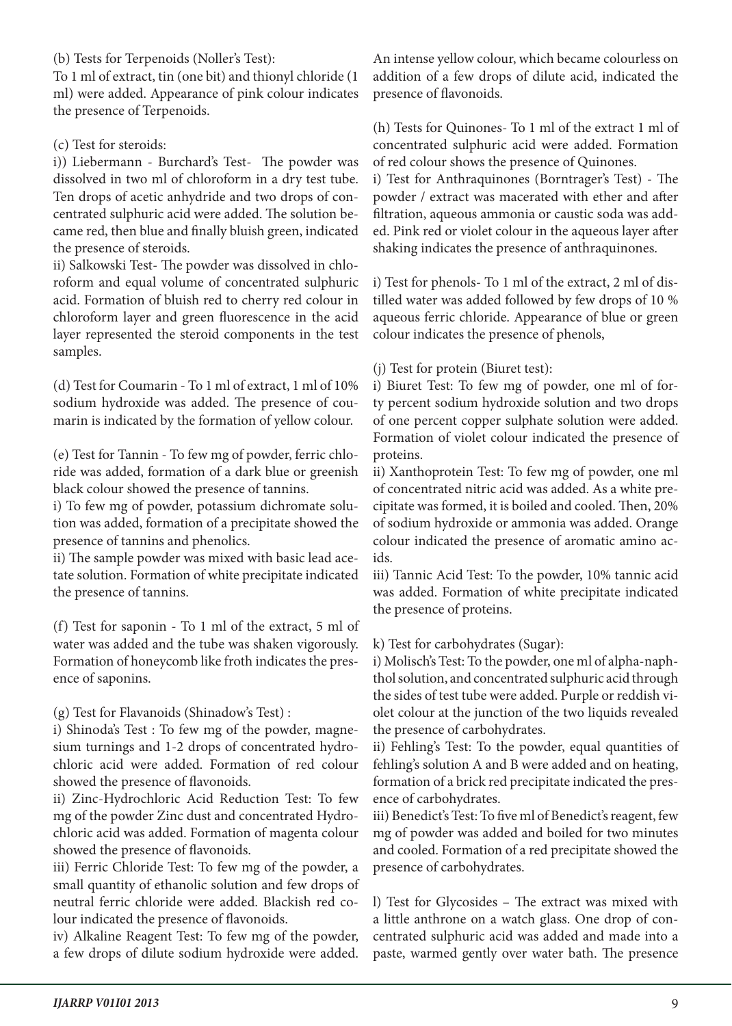(b) Tests for Terpenoids (Noller's Test):

To 1 ml of extract, tin (one bit) and thionyl chloride (1 ml) were added. Appearance of pink colour indicates the presence of Terpenoids.

(c) Test for steroids:

i)) Liebermann - Burchard's Test- The powder was dissolved in two ml of chloroform in a dry test tube. Ten drops of acetic anhydride and two drops of concentrated sulphuric acid were added. The solution became red, then blue and finally bluish green, indicated the presence of steroids.

ii) Salkowski Test- The powder was dissolved in chloroform and equal volume of concentrated sulphuric acid. Formation of bluish red to cherry red colour in chloroform layer and green fluorescence in the acid layer represented the steroid components in the test samples.

(d) Test for Coumarin - To 1 ml of extract, 1 ml of 10% sodium hydroxide was added. The presence of coumarin is indicated by the formation of yellow colour.

(e) Test for Tannin - To few mg of powder, ferric chloride was added, formation of a dark blue or greenish black colour showed the presence of tannins.

i) To few mg of powder, potassium dichromate solution was added, formation of a precipitate showed the presence of tannins and phenolics.

ii) The sample powder was mixed with basic lead acetate solution. Formation of white precipitate indicated the presence of tannins.

(f) Test for saponin - To 1 ml of the extract, 5 ml of water was added and the tube was shaken vigorously. Formation of honeycomb like froth indicates the presence of saponins.

(g) Test for Flavanoids (Shinadow's Test) :

i) Shinoda's Test : To few mg of the powder, magnesium turnings and 1-2 drops of concentrated hydrochloric acid were added. Formation of red colour showed the presence of flavonoids.

ii) Zinc-Hydrochloric Acid Reduction Test: To few mg of the powder Zinc dust and concentrated Hydrochloric acid was added. Formation of magenta colour showed the presence of flavonoids.

iii) Ferric Chloride Test: To few mg of the powder, a small quantity of ethanolic solution and few drops of neutral ferric chloride were added. Blackish red colour indicated the presence of flavonoids.

iv) Alkaline Reagent Test: To few mg of the powder, a few drops of dilute sodium hydroxide were added.

An intense yellow colour, which became colourless on addition of a few drops of dilute acid, indicated the presence of flavonoids.

(h) Tests for Quinones- To 1 ml of the extract 1 ml of concentrated sulphuric acid were added. Formation of red colour shows the presence of Quinones.

i) Test for Anthraquinones (Borntrager's Test) - The powder / extract was macerated with ether and after filtration, aqueous ammonia or caustic soda was added. Pink red or violet colour in the aqueous layer after shaking indicates the presence of anthraquinones.

i) Test for phenols- To 1 ml of the extract, 2 ml of distilled water was added followed by few drops of 10 % aqueous ferric chloride. Appearance of blue or green colour indicates the presence of phenols,

(j) Test for protein (Biuret test):

i) Biuret Test: To few mg of powder, one ml of forty percent sodium hydroxide solution and two drops of one percent copper sulphate solution were added. Formation of violet colour indicated the presence of proteins.

ii) Xanthoprotein Test: To few mg of powder, one ml of concentrated nitric acid was added. As a white precipitate was formed, it is boiled and cooled. Then, 20% of sodium hydroxide or ammonia was added. Orange colour indicated the presence of aromatic amino acids.

iii) Tannic Acid Test: To the powder, 10% tannic acid was added. Formation of white precipitate indicated the presence of proteins.

k) Test for carbohydrates (Sugar):

i) Molisch's Test: To the powder, one ml of alpha-naphthol solution, and concentrated sulphuric acid through the sides of test tube were added. Purple or reddish violet colour at the junction of the two liquids revealed the presence of carbohydrates.

ii) Fehling's Test: To the powder, equal quantities of fehling's solution A and B were added and on heating, formation of a brick red precipitate indicated the presence of carbohydrates.

iii) Benedict's Test: To five ml of Benedict's reagent, few mg of powder was added and boiled for two minutes and cooled. Formation of a red precipitate showed the presence of carbohydrates.

l) Test for Glycosides – The extract was mixed with a little anthrone on a watch glass. One drop of concentrated sulphuric acid was added and made into a paste, warmed gently over water bath. The presence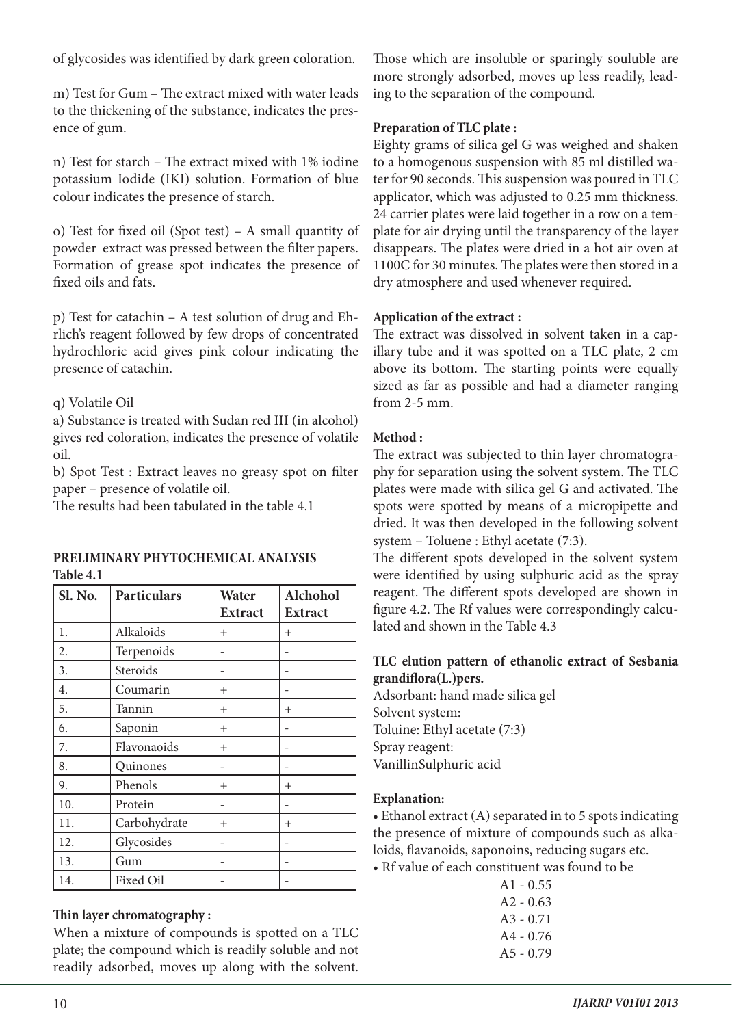of glycosides was identified by dark green coloration.

m) Test for Gum – The extract mixed with water leads to the thickening of the substance, indicates the presence of gum.

n) Test for starch – The extract mixed with 1% iodine potassium Iodide (IKI) solution. Formation of blue colour indicates the presence of starch.

o) Test for fixed oil (Spot test) – A small quantity of powder extract was pressed between the filter papers. Formation of grease spot indicates the presence of fixed oils and fats.

p) Test for catachin – A test solution of drug and Ehrlich's reagent followed by few drops of concentrated hydrochloric acid gives pink colour indicating the presence of catachin.

# q) Volatile Oil

a) Substance is treated with Sudan red III (in alcohol) gives red coloration, indicates the presence of volatile oil.

b) Spot Test : Extract leaves no greasy spot on filter paper – presence of volatile oil.

The results had been tabulated in the table 4.1

#### **PRELIMINARY PHYTOCHEMICAL ANALYSIS Table 4.1**

| Sl. No.          | <b>Particulars</b> | Water          | Alchohol       |  |  |
|------------------|--------------------|----------------|----------------|--|--|
|                  |                    | <b>Extract</b> | <b>Extract</b> |  |  |
| 1.               | Alkaloids          | $^{+}$         | $^{+}$         |  |  |
| 2.               | Terpenoids         |                |                |  |  |
| $\overline{3}$ . | Steroids           |                |                |  |  |
| 4.               | Coumarin           | $^{+}$         |                |  |  |
| 5.               | Tannin             | $^{+}$         | $^{+}$         |  |  |
| 6.               | Saponin            | $^{+}$         |                |  |  |
| 7.               | Flavonaoids        | $^{+}$         |                |  |  |
| 8.               | Quinones           |                |                |  |  |
| 9.               | Phenols            | $^{+}$         | $^{+}$         |  |  |
| 10.              | Protein            |                |                |  |  |
| 11.              | Carbohydrate       | $^{+}$         | $^{+}$         |  |  |
| 12.              | Glycosides         |                |                |  |  |
| 13.              | Gum                |                |                |  |  |
| 14.              | Fixed Oil          |                |                |  |  |

# **Thin layer chromatography :**

When a mixture of compounds is spotted on a TLC plate; the compound which is readily soluble and not readily adsorbed, moves up along with the solvent.

Those which are insoluble or sparingly souluble are more strongly adsorbed, moves up less readily, leading to the separation of the compound.

# **Preparation of TLC plate :**

Eighty grams of silica gel G was weighed and shaken to a homogenous suspension with 85 ml distilled water for 90 seconds. This suspension was poured in TLC applicator, which was adjusted to 0.25 mm thickness. 24 carrier plates were laid together in a row on a template for air drying until the transparency of the layer disappears. The plates were dried in a hot air oven at 1100C for 30 minutes. The plates were then stored in a dry atmosphere and used whenever required.

# **Application of the extract :**

The extract was dissolved in solvent taken in a capillary tube and it was spotted on a TLC plate, 2 cm above its bottom. The starting points were equally sized as far as possible and had a diameter ranging from 2-5 mm.

# **Method :**

The extract was subjected to thin layer chromatography for separation using the solvent system. The TLC plates were made with silica gel G and activated. The spots were spotted by means of a micropipette and dried. It was then developed in the following solvent system – Toluene : Ethyl acetate (7:3).

The different spots developed in the solvent system were identified by using sulphuric acid as the spray reagent. The different spots developed are shown in figure 4.2. The Rf values were correspondingly calculated and shown in the Table 4.3

# **TLC elution pattern of ethanolic extract of Sesbania grandiflora(L.)pers.**

Adsorbant: hand made silica gel Solvent system: Toluine: Ethyl acetate (7:3) Spray reagent: VanillinSulphuric acid

# **Explanation:**

• Ethanol extract (A) separated in to 5 spots indicating the presence of mixture of compounds such as alkaloids, flavanoids, saponoins, reducing sugars etc.

• Rf value of each constituent was found to be

|  | A1 - 0.55   |
|--|-------------|
|  | $A2 - 0.63$ |
|  | A3 - 0.71   |
|  | $A4 - 0.76$ |
|  | $A5 - 0.79$ |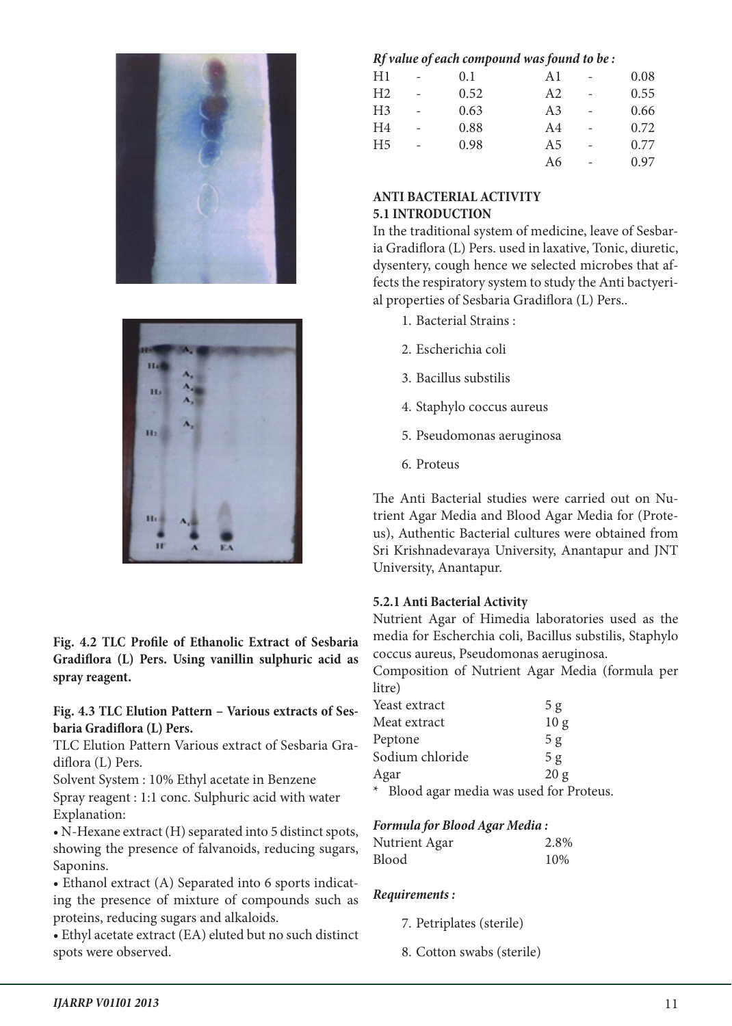



**Fig. 4.2 TLC Profile of Ethanolic Extract of Sesbaria Gradiflora (L) Pers. Using vanillin sulphuric acid as spray reagent.**

#### **Fig. 4.3 TLC Elution Pattern – Various extracts of Sesbaria Gradiflora (L) Pers.**

TLC Elution Pattern Various extract of Sesbaria Gradiflora (L) Pers.

Solvent System : 10% Ethyl acetate in Benzene Spray reagent : 1:1 conc. Sulphuric acid with water Explanation:

• N-Hexane extract (H) separated into 5 distinct spots, showing the presence of falvanoids, reducing sugars, Saponins.

• Ethanol extract (A) Separated into 6 sports indicating the presence of mixture of compounds such as proteins, reducing sugars and alkaloids.

• Ethyl acetate extract (EA) eluted but no such distinct spots were observed.

#### *Rf value of each compound was found to be :*

| H1             | 0.1  | A1             | 0.08 |
|----------------|------|----------------|------|
| H <sub>2</sub> | 0.52 | A2             | 0.55 |
| H <sub>3</sub> | 0.63 | A <sub>3</sub> | 0.66 |
| H <sub>4</sub> | 0.88 | A <sub>4</sub> | 0.72 |
| H <sub>5</sub> | 0.98 | A <sub>5</sub> | 0.77 |
|                |      | A6             | 0.97 |
|                |      |                |      |

# **ANTI BACTERIAL ACTIVITY 5.1 INTRODUCTION**

In the traditional system of medicine, leave of Sesbaria Gradiflora (L) Pers. used in laxative, Tonic, diuretic, dysentery, cough hence we selected microbes that affects the respiratory system to study the Anti bactyerial properties of Sesbaria Gradiflora (L) Pers..

- 1. Bacterial Strains :
- 2. Escherichia coli
- 3. Bacillus substilis
- 4. Staphylo coccus aureus
- 5. Pseudomonas aeruginosa
- 6. Proteus

The Anti Bacterial studies were carried out on Nutrient Agar Media and Blood Agar Media for (Proteus), Authentic Bacterial cultures were obtained from Sri Krishnadevaraya University, Anantapur and JNT University, Anantapur.

# **5.2.1 Anti Bacterial Activity**

Nutrient Agar of Himedia laboratories used as the media for Escherchia coli, Bacillus substilis, Staphylo coccus aureus, Pseudomonas aeruginosa.

Composition of Nutrient Agar Media (formula per litre)

| Yeast extract                            | 5 g             |
|------------------------------------------|-----------------|
| Meat extract                             | 10 <sub>g</sub> |
| Peptone                                  | 5 <sub>g</sub>  |
| Sodium chloride                          | 5 <sub>g</sub>  |
| Agar                                     | 20 g            |
| * Blood agar media was used for Proteus. |                 |

# *Formula for Blood Agar Media :*

# Nutrient Agar 2.8% Blood 10%

# *Requirements :*

- 7. Petriplates (sterile)
- 8. Cotton swabs (sterile)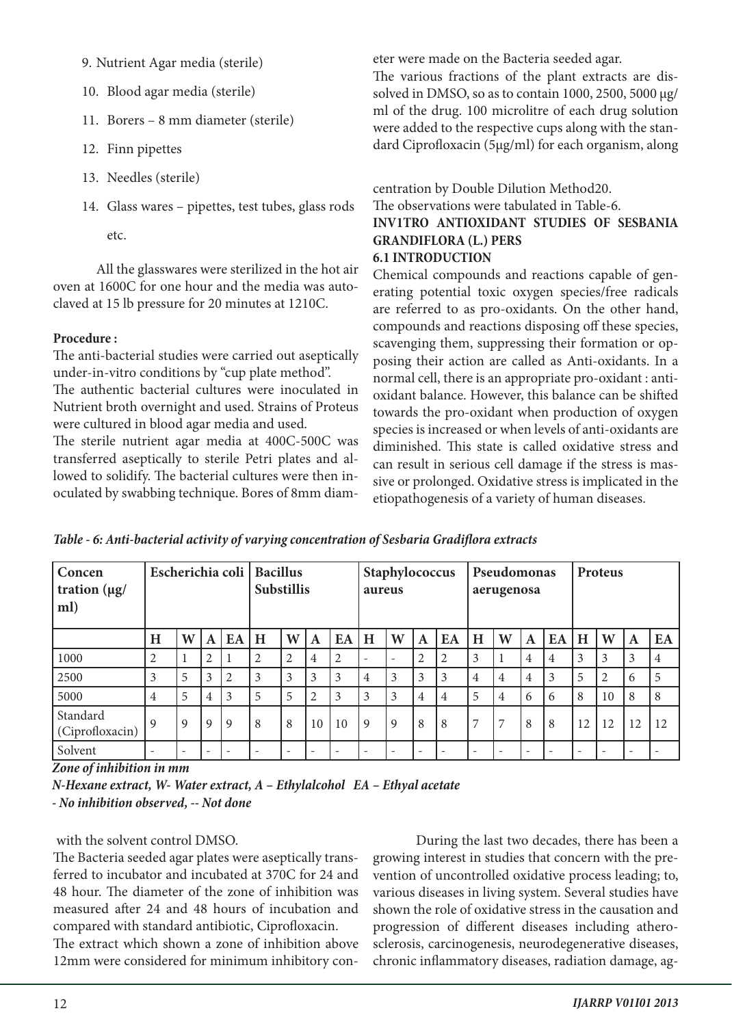- 9. Nutrient Agar media (sterile)
- 10. Blood agar media (sterile)
- 11. Borers 8 mm diameter (sterile)
- 12. Finn pipettes
- 13. Needles (sterile)
- 14. Glass wares pipettes, test tubes, glass rods

etc.

All the glasswares were sterilized in the hot air oven at 1600C for one hour and the media was autoclaved at 15 lb pressure for 20 minutes at 1210C.

#### **Procedure :**

The anti-bacterial studies were carried out aseptically under-in-vitro conditions by "cup plate method".

The authentic bacterial cultures were inoculated in Nutrient broth overnight and used. Strains of Proteus were cultured in blood agar media and used.

The sterile nutrient agar media at 400C-500C was transferred aseptically to sterile Petri plates and allowed to solidify. The bacterial cultures were then inoculated by swabbing technique. Bores of 8mm diameter were made on the Bacteria seeded agar.

The various fractions of the plant extracts are dissolved in DMSO, so as to contain 1000, 2500, 5000 µg/ ml of the drug. 100 microlitre of each drug solution were added to the respective cups along with the standard Ciprofloxacin (5µg/ml) for each organism, along

#### centration by Double Dilution Method20. The observations were tabulated in Table-6. **INV1TRO ANTIOXIDANT STUDIES OF SESBANIA GRANDIFLORA (L.) PERS 6.1 INTRODUCTION**

Chemical compounds and reactions capable of generating potential toxic oxygen species/free radicals are referred to as pro-oxidants. On the other hand, compounds and reactions disposing off these species, scavenging them, suppressing their formation or opposing their action are called as Anti-oxidants. In a normal cell, there is an appropriate pro-oxidant : antioxidant balance. However, this balance can be shifted towards the pro-oxidant when production of oxygen species is increased or when levels of anti-oxidants are diminished. This state is called oxidative stress and can result in serious cell damage if the stress is massive or prolonged. Oxidative stress is implicated in the etiopathogenesis of a variety of human diseases.

| Concen<br>tration $(\mu g)$<br>ml) | Escherichia coli   Bacillus |                          |             |              | <b>Substillis</b>        |                          |                | Staphylococcus<br>aureus |              |   | Pseudomonas<br>aerugenosa |    |                          | Proteus                  |                          |                          |    |                          |    |                |
|------------------------------------|-----------------------------|--------------------------|-------------|--------------|--------------------------|--------------------------|----------------|--------------------------|--------------|---|---------------------------|----|--------------------------|--------------------------|--------------------------|--------------------------|----|--------------------------|----|----------------|
|                                    | H                           | W                        | A           | EA           | H                        | W                        | A              | EA                       | H            | W | $\mathbf A$               | EA | H                        | W                        | A                        | EA                       | H  | W                        | A  | EA             |
| 1000                               | 2                           | 1                        | 2           |              | 2                        | $\overline{2}$           | $\overline{4}$ | 2                        | ۰            |   | $\overline{2}$            | 2  | 3                        |                          | $\overline{4}$           | 4                        | 3  | 3                        | 3  | $\overline{4}$ |
| 2500                               | 3                           | 5                        | 3           | 2            | 3                        | 3                        | 3              | 3                        | 4            | 3 | 3                         | 3  | $\overline{4}$           | 4                        | 4                        | 3                        | 5  | 2                        | 6  | 5              |
| 5000                               | 4                           | 5                        | 4           | 3            | 5                        | 5                        | $\overline{2}$ | 3                        | 3            | 3 | $\overline{4}$            | 4  | 5                        | 4                        | 6                        | 6                        | 8  | 10                       | 8  | 8              |
| Standard<br>(Ciprofloxacin)        | $\mathbf Q$                 | 9                        | $\mathbf Q$ | $\mathbf{Q}$ | 8                        | 8                        | 10             | 10                       | $\mathbf{Q}$ | 9 | 8                         | 8  | $\overline{7}$           | $\overline{ }$           | 8                        | 8                        | 12 | 12                       | 12 | 12             |
| Solvent                            |                             | $\overline{\phantom{a}}$ |             |              | $\overline{\phantom{0}}$ | $\overline{\phantom{a}}$ |                |                          | ۰            |   | $\overline{\phantom{0}}$  |    | $\overline{\phantom{a}}$ | $\overline{\phantom{a}}$ | $\overline{\phantom{a}}$ | $\overline{\phantom{a}}$ |    | $\overline{\phantom{a}}$ |    |                |

*Zone of inhibition in mm*

*N-Hexane extract, W- Water extract, A – Ethylalcohol EA – Ethyal acetate - No inhibition observed, -- Not done*

# with the solvent control DMSO.

The Bacteria seeded agar plates were aseptically transferred to incubator and incubated at 370C for 24 and 48 hour. The diameter of the zone of inhibition was measured after 24 and 48 hours of incubation and compared with standard antibiotic, Ciprofloxacin.

The extract which shown a zone of inhibition above 12mm were considered for minimum inhibitory con-

During the last two decades, there has been a growing interest in studies that concern with the prevention of uncontrolled oxidative process leading; to, various diseases in living system. Several studies have shown the role of oxidative stress in the causation and progression of different diseases including atherosclerosis, carcinogenesis, neurodegenerative diseases, chronic inflammatory diseases, radiation damage, ag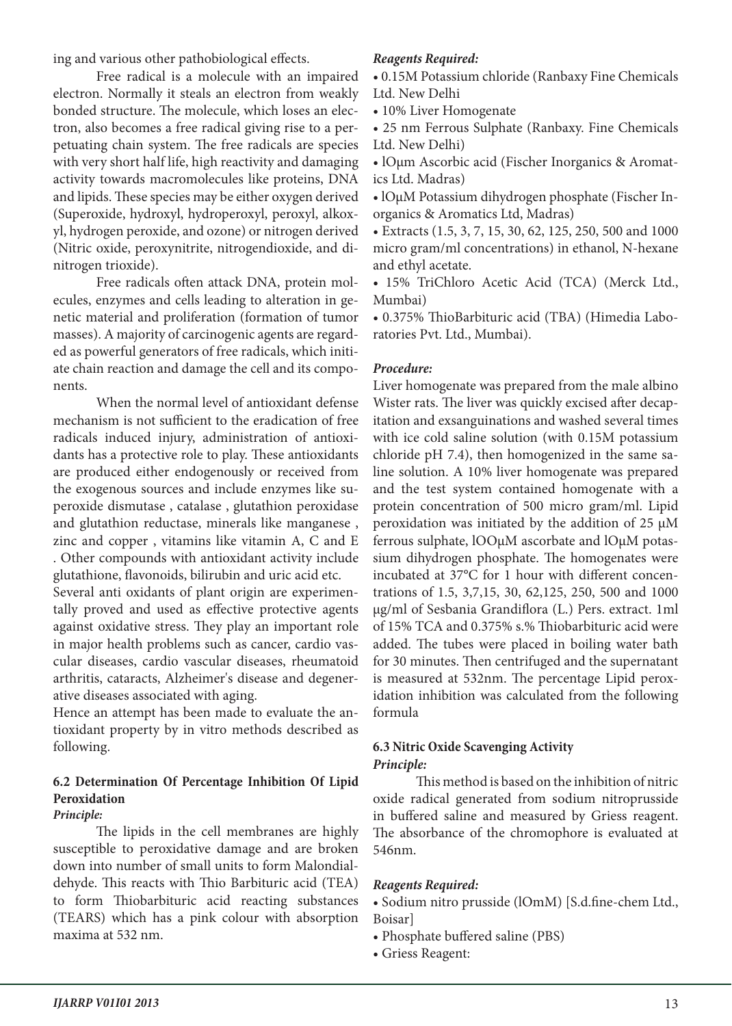ing and various other pathobiological effects.

Free radical is a molecule with an impaired electron. Normally it steals an electron from weakly bonded structure. The molecule, which loses an electron, also becomes a free radical giving rise to a perpetuating chain system. The free radicals are species with very short half life, high reactivity and damaging activity towards macromolecules like proteins, DNA and lipids. These species may be either oxygen derived (Superoxide, hydroxyl, hydroperoxyl, peroxyl, alkoxyl, hydrogen peroxide, and ozone) or nitrogen derived (Nitric oxide, peroxynitrite, nitrogendioxide, and dinitrogen trioxide).

Free radicals often attack DNA, protein molecules, enzymes and cells leading to alteration in genetic material and proliferation (formation of tumor masses). A majority of carcinogenic agents are regarded as powerful generators of free radicals, which initiate chain reaction and damage the cell and its components.

When the normal level of antioxidant defense mechanism is not sufficient to the eradication of free radicals induced injury, administration of antioxidants has a protective role to play. These antioxidants are produced either endogenously or received from the exogenous sources and include enzymes like superoxide dismutase , catalase , glutathion peroxidase and glutathion reductase, minerals like manganese , zinc and copper , vitamins like vitamin A, C and E . Other compounds with antioxidant activity include glutathione, flavonoids, bilirubin and uric acid etc.

Several anti oxidants of plant origin are experimentally proved and used as effective protective agents against oxidative stress. They play an important role in major health problems such as cancer, cardio vascular diseases, cardio vascular diseases, rheumatoid arthritis, cataracts, Alzheimer's disease and degenerative diseases associated with aging.

Hence an attempt has been made to evaluate the antioxidant property by in vitro methods described as following.

# **6.2 Determination Of Percentage Inhibition Of Lipid Peroxidation**

#### *Principle:*

The lipids in the cell membranes are highly susceptible to peroxidative damage and are broken down into number of small units to form Malondialdehyde. This reacts with Thio Barbituric acid (TEA) to form Thiobarbituric acid reacting substances (TEARS) which has a pink colour with absorption maxima at 532 nm.

#### *Reagents Required:*

• 0.15M Potassium chloride (Ranbaxy Fine Chemicals Ltd. New Delhi

• 10% Liver Homogenate

• 25 nm Ferrous Sulphate (Ranbaxy. Fine Chemicals Ltd. New Delhi)

• lOµm Ascorbic acid (Fischer Inorganics & Aromatics Ltd. Madras)

• lOµM Potassium dihydrogen phosphate (Fischer Inorganics & Aromatics Ltd, Madras)

• Extracts (1.5, 3, 7, 15, 30, 62, 125, 250, 500 and 1000 micro gram/ml concentrations) in ethanol, N-hexane and ethyl acetate.

• 15% TriChloro Acetic Acid (TCA) (Merck Ltd., Mumbai)

• 0.375% ThioBarbituric acid (TBA) (Himedia Laboratories Pvt. Ltd., Mumbai).

#### *Procedure:*

Liver homogenate was prepared from the male albino Wister rats. The liver was quickly excised after decapitation and exsanguinations and washed several times with ice cold saline solution (with 0.15M potassium chloride pH 7.4), then homogenized in the same saline solution. A 10% liver homogenate was prepared and the test system contained homogenate with a protein concentration of 500 micro gram/ml. Lipid peroxidation was initiated by the addition of 25 µM ferrous sulphate, lOOµM ascorbate and lOµM potassium dihydrogen phosphate. The homogenates were incubated at 37°C for 1 hour with different concentrations of 1.5, 3,7,15, 30, 62,125, 250, 500 and 1000 µg/ml of Sesbania Grandiflora (L.) Pers. extract. 1ml of 15% TCA and 0.375% s.% Thiobarbituric acid were added. The tubes were placed in boiling water bath for 30 minutes. Then centrifuged and the supernatant is measured at 532nm. The percentage Lipid peroxidation inhibition was calculated from the following formula

#### **6.3 Nitric Oxide Scavenging Activity** *Principle:*

This method is based on the inhibition of nitric oxide radical generated from sodium nitroprusside in buffered saline and measured by Griess reagent. The absorbance of the chromophore is evaluated at 546nm.

#### *Reagents Required:*

- Sodium nitro prusside (lOmM) [S.d.fine-chem Ltd., Boisar]
- Phosphate buffered saline (PBS)
- Griess Reagent: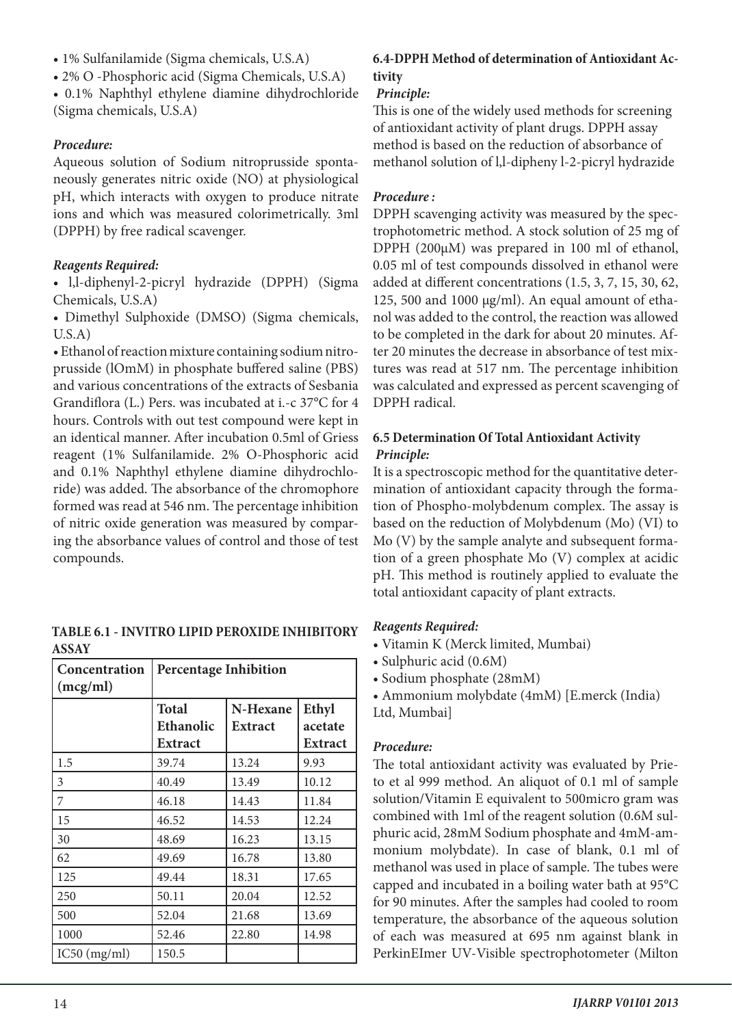- 1% Sulfanilamide (Sigma chemicals, U.S.A)
- 2% O -Phosphoric acid (Sigma Chemicals, U.S.A)

• 0.1% Naphthyl ethylene diamine dihydrochloride (Sigma chemicals, U.S.A)

# *Procedure:*

Aqueous solution of Sodium nitroprusside spontaneously generates nitric oxide (NO) at physiological pH, which interacts with oxygen to produce nitrate ions and which was measured colorimetrically. 3ml (DPPH) by free radical scavenger.

# *Reagents Required:*

• l,l-diphenyl-2-picryl hydrazide (DPPH) (Sigma Chemicals, U.S.A)

• Dimethyl Sulphoxide (DMSO) (Sigma chemicals, U.S.A)

• Ethanol of reaction mixture containing sodium nitroprusside (lOmM) in phosphate buffered saline (PBS) and various concentrations of the extracts of Sesbania Grandiflora (L.) Pers. was incubated at i.-c 37°C for 4 hours. Controls with out test compound were kept in an identical manner. After incubation 0.5ml of Griess reagent (1% Sulfanilamide. 2% O-Phosphoric acid and 0.1% Naphthyl ethylene diamine dihydrochloride) was added. The absorbance of the chromophore formed was read at 546 nm. The percentage inhibition of nitric oxide generation was measured by comparing the absorbance values of control and those of test compounds.

**TABLE 6.1 - INVITRO LIPID PEROXIDE INHIBITORY ASSAY**

| <b>Concentration</b><br>(mcg/ml) | <b>Percentage Inhibition</b> |                |                |  |  |  |  |
|----------------------------------|------------------------------|----------------|----------------|--|--|--|--|
|                                  | <b>Total</b>                 | Ethyl          |                |  |  |  |  |
|                                  | Ethanolic                    | <b>Extract</b> | acetate        |  |  |  |  |
|                                  | Extract                      |                | <b>Extract</b> |  |  |  |  |
| 1.5                              | 39.74                        | 13.24          | 9.93           |  |  |  |  |
| 3                                | 40.49                        | 13.49          | 10.12          |  |  |  |  |
| 7                                | 46.18                        | 14.43          | 11.84          |  |  |  |  |
| 15                               | 46.52                        | 14.53          | 12.24          |  |  |  |  |
| 30                               | 48.69                        | 16.23          | 13.15          |  |  |  |  |
| 62                               | 49.69                        | 16.78          | 13.80          |  |  |  |  |
| 125                              | 49.44                        | 18.31          | 17.65          |  |  |  |  |
| 250                              | 50.11                        | 20.04          | 12.52          |  |  |  |  |
| 500                              | 52.04                        | 21.68          | 13.69          |  |  |  |  |
| 1000                             | 52.46                        | 22.80          | 14.98          |  |  |  |  |
| IC50 (mg/ml)                     | 150.5                        |                |                |  |  |  |  |

# **6.4-DPPH Method of determination of Antioxidant Activity**

# *Principle:*

This is one of the widely used methods for screening of antioxidant activity of plant drugs. DPPH assay method is based on the reduction of absorbance of methanol solution of l,l-dipheny l-2-picryl hydrazide

# *Procedure :*

DPPH scavenging activity was measured by the spectrophotometric method. A stock solution of 25 mg of DPPH (200µM) was prepared in 100 ml of ethanol, 0.05 ml of test compounds dissolved in ethanol were added at different concentrations (1.5, 3, 7, 15, 30, 62, 125, 500 and 1000  $\mu$ g/ml). An equal amount of ethanol was added to the control, the reaction was allowed to be completed in the dark for about 20 minutes. After 20 minutes the decrease in absorbance of test mixtures was read at 517 nm. The percentage inhibition was calculated and expressed as percent scavenging of DPPH radical.

# **6.5 Determination Of Total Antioxidant Activity**  *Principle:*

It is a spectroscopic method for the quantitative determination of antioxidant capacity through the formation of Phospho-molybdenum complex. The assay is based on the reduction of Molybdenum (Mo) (VI) to Mo (V) by the sample analyte and subsequent formation of a green phosphate Mo (V) complex at acidic pH. This method is routinely applied to evaluate the total antioxidant capacity of plant extracts.

# *Reagents Required:*

- Vitamin K (Merck limited, Mumbai)
- Sulphuric acid (0.6M)
- Sodium phosphate (28mM)
- Ammonium molybdate (4mM) [E.merck (India) Ltd, Mumbai]

# *Procedure:*

The total antioxidant activity was evaluated by Prieto et al 999 method. An aliquot of 0.1 ml of sample solution/Vitamin E equivalent to 500micro gram was combined with 1ml of the reagent solution (0.6M sulphuric acid, 28mM Sodium phosphate and 4mM-ammonium molybdate). In case of blank, 0.1 ml of methanol was used in place of sample. The tubes were capped and incubated in a boiling water bath at 95°C for 90 minutes. After the samples had cooled to room temperature, the absorbance of the aqueous solution of each was measured at 695 nm against blank in PerkinEImer UV-Visible spectrophotometer (Milton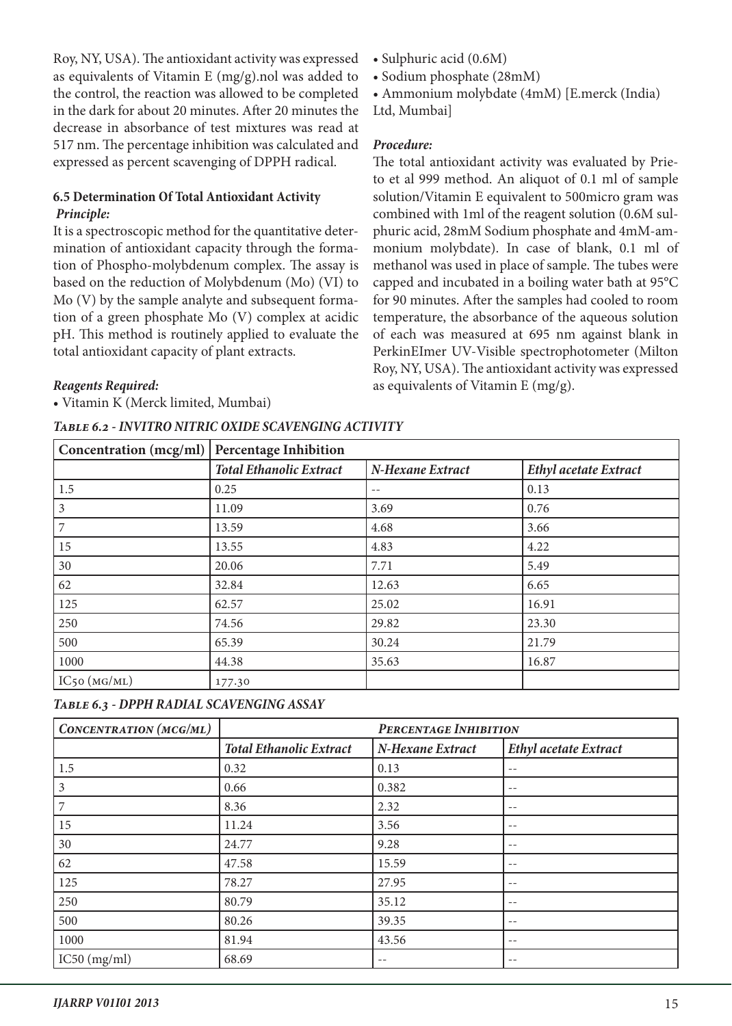Roy, NY, USA). The antioxidant activity was expressed as equivalents of Vitamin E (mg/g).nol was added to the control, the reaction was allowed to be completed in the dark for about 20 minutes. After 20 minutes the decrease in absorbance of test mixtures was read at 517 nm. The percentage inhibition was calculated and expressed as percent scavenging of DPPH radical.

### **6.5 Determination Of Total Antioxidant Activity**  *Principle:*

It is a spectroscopic method for the quantitative determination of antioxidant capacity through the formation of Phospho-molybdenum complex. The assay is based on the reduction of Molybdenum (Mo) (VI) to Mo (V) by the sample analyte and subsequent formation of a green phosphate Mo (V) complex at acidic pH. This method is routinely applied to evaluate the total antioxidant capacity of plant extracts.

#### *Reagents Required:*

• Vitamin K (Merck limited, Mumbai)

#### *Table 6.2 - INVITRO NITRIC OXIDE SCAVENGING ACTIVITY*

- Sulphuric acid (0.6M)
- Sodium phosphate (28mM)
- Ammonium molybdate (4mM) [E.merck (India)
- Ltd, Mumbai]

#### *Procedure:*

The total antioxidant activity was evaluated by Prieto et al 999 method. An aliquot of 0.1 ml of sample solution/Vitamin E equivalent to 500micro gram was combined with 1ml of the reagent solution (0.6M sulphuric acid, 28mM Sodium phosphate and 4mM-ammonium molybdate). In case of blank, 0.1 ml of methanol was used in place of sample. The tubes were capped and incubated in a boiling water bath at 95°C for 90 minutes. After the samples had cooled to room temperature, the absorbance of the aqueous solution of each was measured at 695 nm against blank in PerkinEImer UV-Visible spectrophotometer (Milton Roy, NY, USA). The antioxidant activity was expressed as equivalents of Vitamin E (mg/g).

| Concentration (mcg/ml) | <b>Percentage Inhibition</b>   |                  |                              |  |  |  |  |
|------------------------|--------------------------------|------------------|------------------------------|--|--|--|--|
|                        | <b>Total Ethanolic Extract</b> | N-Hexane Extract | <b>Ethyl acetate Extract</b> |  |  |  |  |
| 1.5                    | 0.25                           | $- -$            | 0.13                         |  |  |  |  |
| 3                      | 11.09                          | 3.69             | 0.76                         |  |  |  |  |
|                        | 13.59                          | 4.68             | 3.66                         |  |  |  |  |
| 15                     | 13.55                          | 4.83             | 4.22                         |  |  |  |  |
| 30                     | 20.06                          | 7.71             | 5.49                         |  |  |  |  |
| 62                     | 32.84                          | 12.63            | 6.65                         |  |  |  |  |
| 125                    | 62.57                          | 25.02            | 16.91                        |  |  |  |  |
| 250                    | 74.56                          | 29.82            | 23.30                        |  |  |  |  |
| 500                    | 65.39                          | 30.24            | 21.79                        |  |  |  |  |
| 1000                   | 44.38                          | 35.63            | 16.87                        |  |  |  |  |
| $IC_{50}$ (MG/ML)      | 177.30                         |                  |                              |  |  |  |  |

# *Table 6.3 - DPPH RADIAL SCAVENGING ASSAY*

| CONCENTRATION (MCG/ML) | PERCENTAGE INHIBITION          |                  |                              |
|------------------------|--------------------------------|------------------|------------------------------|
|                        | <b>Total Ethanolic Extract</b> | N-Hexane Extract | <b>Ethyl acetate Extract</b> |
| 1.5                    | 0.32                           | 0.13             |                              |
| 3                      | 0.66                           | 0.382            | $- -$                        |
| 7                      | 8.36                           | 2.32             | $- -$                        |
| 15                     | 11.24                          | 3.56             | $- -$                        |
| 30                     | 24.77                          | 9.28             |                              |
| 62                     | 47.58                          | 15.59            |                              |
| 125                    | 78.27                          | 27.95            | $- -$                        |
| 250                    | 80.79                          | 35.12            | $- -$                        |
| 500                    | 80.26                          | 39.35            | $- -$                        |
| 1000                   | 81.94                          | 43.56            | $- -$                        |
| IC50 (mg/ml)           | 68.69                          | $- -$            |                              |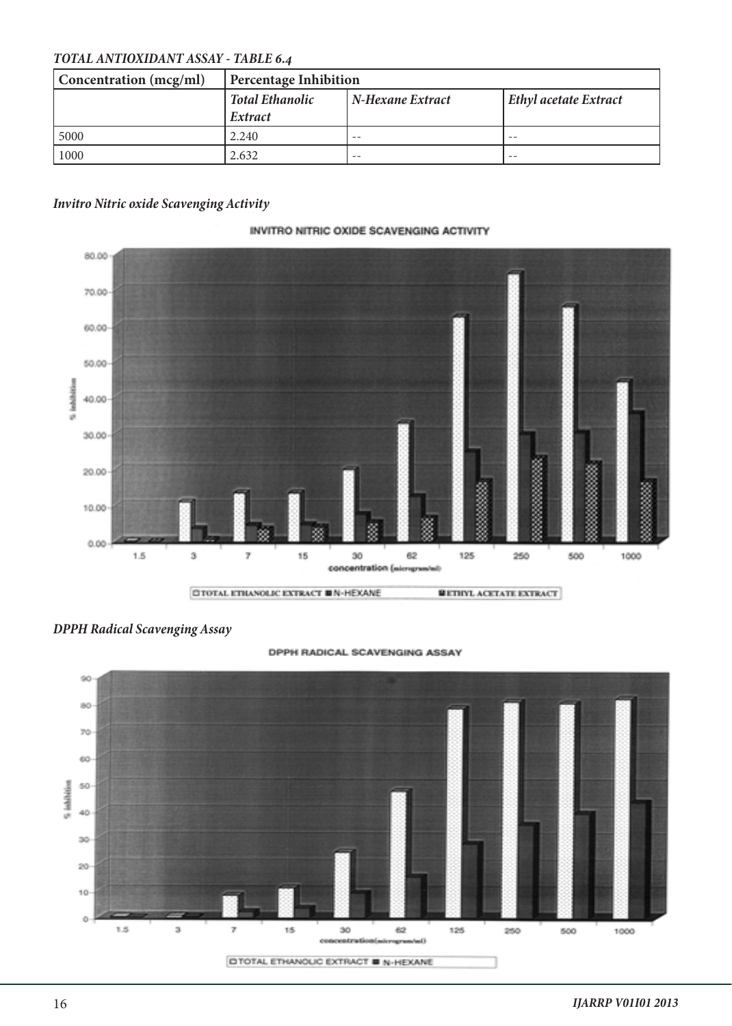# *TOTAL ANTIOXIDANT ASSAY - TABLE 6.4*

| Concentration (mcg/ml) | Percentage Inhibition             |                  |                       |
|------------------------|-----------------------------------|------------------|-----------------------|
|                        | <b>Total Ethanolic</b><br>Extract | N-Hexane Extract | Ethyl acetate Extract |
| 5000                   | 2.240                             | $ -$             | $ -$                  |
| 1000                   | 2.632                             | --               | $ -$                  |

### *Invitro Nitric oxide Scavenging Activity*

# INVITRO NITRIC OXIDE SCAVENGING ACTIVITY



#### *DPPH Radical Scavenging Assay*



#### DPPH RADICAL SCAVENGING ASSAY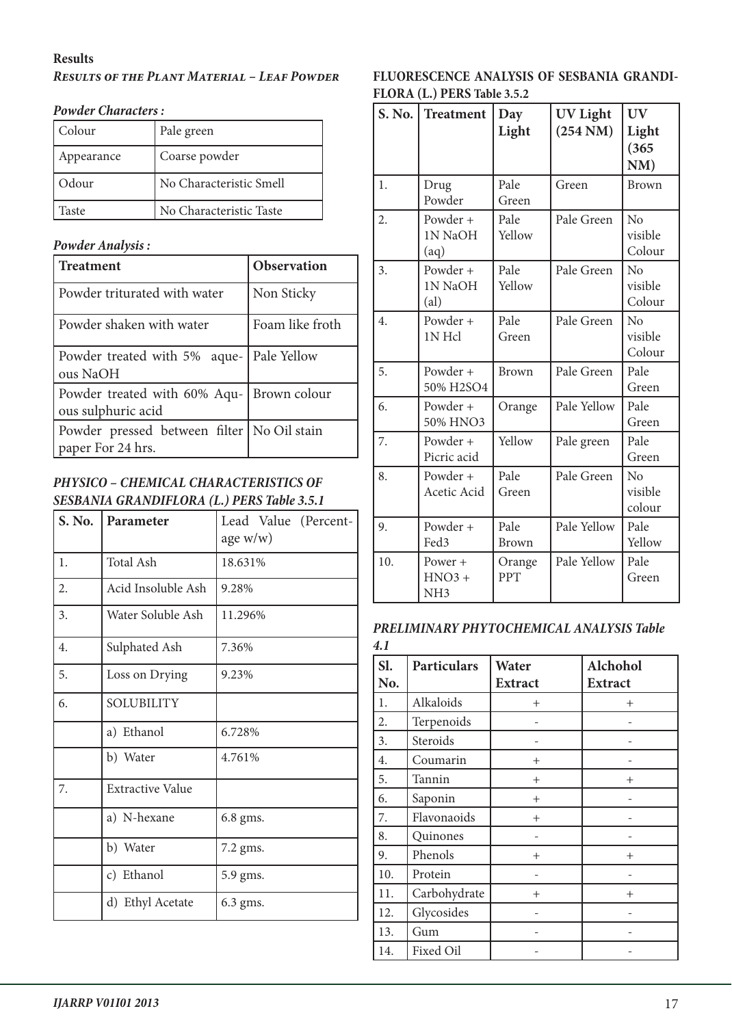#### **Results**

#### *Results of the Plant Material – Leaf Powder*

| Colour     | Pale green              |
|------------|-------------------------|
| Appearance | Coarse powder           |
| : Odour    | No Characteristic Smell |
| Faste      | No Characteristic Taste |

#### *Powder Analysis :*

| <b>Treatment</b>                                                  | Observation     |
|-------------------------------------------------------------------|-----------------|
| Powder triturated with water                                      | Non Sticky      |
| Powder shaken with water                                          | Foam like froth |
| Powder treated with 5% aque-   Pale Yellow<br>ous NaOH            |                 |
| Powder treated with 60% Aqu-<br>ous sulphuric acid                | Brown colour    |
| Powder pressed between filter   No Oil stain<br>paper For 24 hrs. |                 |

### *PHYSICO – CHEMICAL CHARACTERISTICS OF SESBANIA GRANDIFLORA (L.) PERS Table 3.5.1*

| S. No. | Parameter               | Lead Value (Percent-<br>age $w/w$ ) |  |
|--------|-------------------------|-------------------------------------|--|
| 1.     | <b>Total Ash</b>        | 18.631%                             |  |
| 2.     | Acid Insoluble Ash      | 9.28%                               |  |
| 3.     | Water Soluble Ash       | 11.296%                             |  |
| 4.     | Sulphated Ash           | 7.36%                               |  |
| 5.     | Loss on Drying          | 9.23%                               |  |
| 6.     | <b>SOLUBILITY</b>       |                                     |  |
|        | a) Ethanol              | 6.728%                              |  |
|        | b) Water                | 4.761%                              |  |
| 7.     | <b>Extractive Value</b> |                                     |  |
|        | a) N-hexane             | 6.8 gms.                            |  |
|        | b) Water                | 7.2 gms.                            |  |
|        | c) Ethanol              | 5.9 gms.                            |  |
|        | d) Ethyl Acetate        | 6.3 gms.                            |  |

# **FLUORESCENCE ANALYSIS OF SESBANIA GRANDI-FLORA (L.) PERS Table 3.5.2**

| S. No.           | <b>Treatment</b>                       | Day<br>Light         | <b>UV Light</b><br>$(254 \text{ NM})$ | <b>UV</b><br>Light<br>(365)<br>NM)  |
|------------------|----------------------------------------|----------------------|---------------------------------------|-------------------------------------|
| 1.               | Drug<br>Powder                         | Pale<br>Green        | Green                                 | <b>Brown</b>                        |
| $\overline{2}$ . | Powder +<br>1N NaOH<br>(aq)            | Pale<br>Yellow       | Pale Green                            | N <sub>o</sub><br>visible<br>Colour |
| 3.               | Powder +<br>1N NaOH<br>(al)            | Pale<br>Yellow       | Pale Green                            | No<br>visible<br>Colour             |
| 4.               | Powder +<br>1N Hcl                     | Pale<br>Green        | Pale Green                            | No<br>visible<br>Colour             |
| 5.               | Powder +<br>50% H2SO4                  | <b>Brown</b>         | Pale Green                            | Pale<br>Green                       |
| 6.               | Powder +<br>50% HNO3                   | Orange               | Pale Yellow                           | Pale<br>Green                       |
| 7.               | Powder +<br>Picric acid                | Yellow               | Pale green                            | Pale<br>Green                       |
| 8.               | Powder +<br>Acetic Acid                | Pale<br>Green        | Pale Green                            | No<br>visible<br>colour             |
| 9.               | Powder +<br>Fed3                       | Pale<br><b>Brown</b> | Pale Yellow                           | Pale<br>Yellow                      |
| 10.              | Power +<br>$HNO3 +$<br>NH <sub>3</sub> | Orange<br>PPT        | Pale Yellow                           | Pale<br>Green                       |

#### *PRELIMINARY PHYTOCHEMICAL ANALYSIS Table 4.1*

| Sl. | <b>Particulars</b> | Water          | <b>Alchohol</b> |
|-----|--------------------|----------------|-----------------|
| No. |                    | <b>Extract</b> | <b>Extract</b>  |
| 1.  | Alkaloids          | $^{+}$         | $^{+}$          |
| 2.  | Terpenoids         |                |                 |
| 3.  | Steroids           |                |                 |
| 4.  | Coumarin           | $^{+}$         |                 |
| 5.  | Tannin             | $^{+}$         | $^{+}$          |
| 6.  | Saponin            | $^{+}$         |                 |
| 7.  | Flavonaoids        | $+$            |                 |
| 8.  | Quinones           |                |                 |
| 9.  | Phenols            | $^{+}$         | $^{+}$          |
| 10. | Protein            |                |                 |
| 11. | Carbohydrate       | $^{+}$         | $^{+}$          |
| 12. | Glycosides         |                |                 |
| 13. | Gum                |                |                 |
| 14. | Fixed Oil          |                |                 |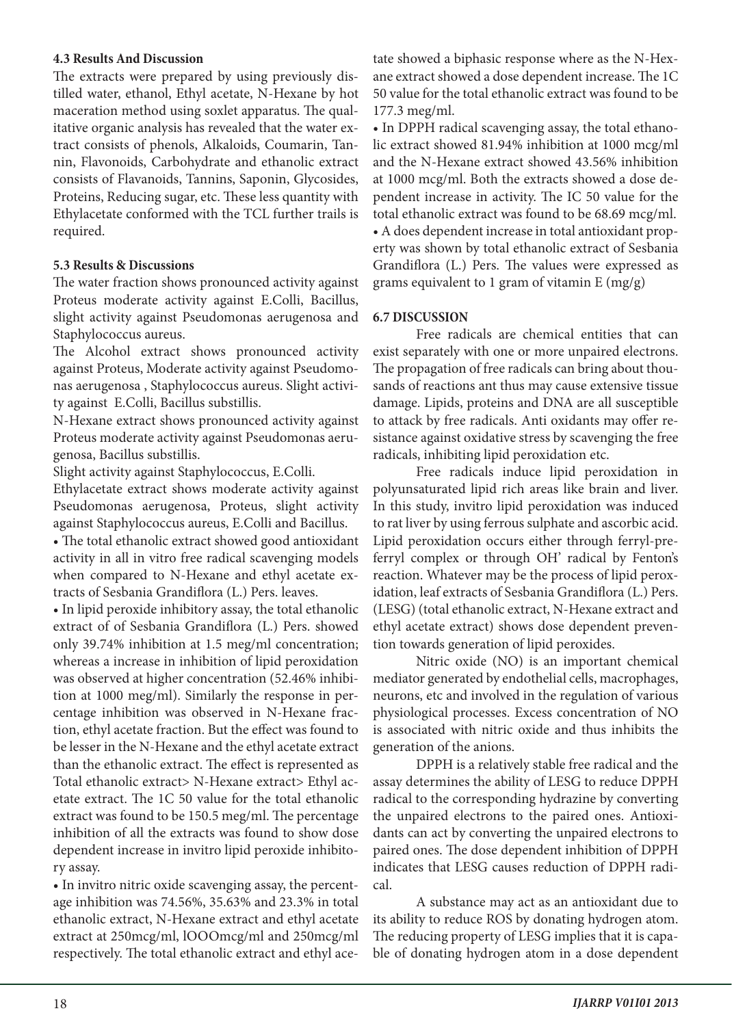#### **4.3 Results And Discussion**

The extracts were prepared by using previously distilled water, ethanol, Ethyl acetate, N-Hexane by hot maceration method using soxlet apparatus. The qualitative organic analysis has revealed that the water extract consists of phenols, Alkaloids, Coumarin, Tannin, Flavonoids, Carbohydrate and ethanolic extract consists of Flavanoids, Tannins, Saponin, Glycosides, Proteins, Reducing sugar, etc. These less quantity with Ethylacetate conformed with the TCL further trails is required.

#### **5.3 Results & Discussions**

The water fraction shows pronounced activity against Proteus moderate activity against E.Colli, Bacillus, slight activity against Pseudomonas aerugenosa and Staphylococcus aureus.

The Alcohol extract shows pronounced activity against Proteus, Moderate activity against Pseudomonas aerugenosa , Staphylococcus aureus. Slight activity against E.Colli, Bacillus substillis.

N-Hexane extract shows pronounced activity against Proteus moderate activity against Pseudomonas aerugenosa, Bacillus substillis.

Slight activity against Staphylococcus, E.Colli.

Ethylacetate extract shows moderate activity against Pseudomonas aerugenosa, Proteus, slight activity against Staphylococcus aureus, E.Colli and Bacillus.

• The total ethanolic extract showed good antioxidant activity in all in vitro free radical scavenging models when compared to N-Hexane and ethyl acetate extracts of Sesbania Grandiflora (L.) Pers. leaves.

• In lipid peroxide inhibitory assay, the total ethanolic extract of of Sesbania Grandiflora (L.) Pers. showed only 39.74% inhibition at 1.5 meg/ml concentration; whereas a increase in inhibition of lipid peroxidation was observed at higher concentration (52.46% inhibition at 1000 meg/ml). Similarly the response in percentage inhibition was observed in N-Hexane fraction, ethyl acetate fraction. But the effect was found to be lesser in the N-Hexane and the ethyl acetate extract than the ethanolic extract. The effect is represented as Total ethanolic extract> N-Hexane extract> Ethyl acetate extract. The 1C 50 value for the total ethanolic extract was found to be 150.5 meg/ml. The percentage inhibition of all the extracts was found to show dose dependent increase in invitro lipid peroxide inhibitory assay.

• In invitro nitric oxide scavenging assay, the percentage inhibition was 74.56%, 35.63% and 23.3% in total ethanolic extract, N-Hexane extract and ethyl acetate extract at 250mcg/ml, lOOOmcg/ml and 250mcg/ml respectively. The total ethanolic extract and ethyl acetate showed a biphasic response where as the N-Hexane extract showed a dose dependent increase. The 1C 50 value for the total ethanolic extract was found to be 177.3 meg/ml.

• In DPPH radical scavenging assay, the total ethanolic extract showed 81.94% inhibition at 1000 mcg/ml and the N-Hexane extract showed 43.56% inhibition at 1000 mcg/ml. Both the extracts showed a dose dependent increase in activity. The IC 50 value for the total ethanolic extract was found to be 68.69 mcg/ml. • A does dependent increase in total antioxidant property was shown by total ethanolic extract of Sesbania Grandiflora (L.) Pers. The values were expressed as grams equivalent to 1 gram of vitamin  $E(mg/g)$ 

#### **6.7 DISCUSSION**

Free radicals are chemical entities that can exist separately with one or more unpaired electrons. The propagation of free radicals can bring about thousands of reactions ant thus may cause extensive tissue damage. Lipids, proteins and DNA are all susceptible to attack by free radicals. Anti oxidants may offer resistance against oxidative stress by scavenging the free radicals, inhibiting lipid peroxidation etc.

Free radicals induce lipid peroxidation in polyunsaturated lipid rich areas like brain and liver. In this study, invitro lipid peroxidation was induced to rat liver by using ferrous sulphate and ascorbic acid. Lipid peroxidation occurs either through ferryl-preferryl complex or through OH' radical by Fenton's reaction. Whatever may be the process of lipid peroxidation, leaf extracts of Sesbania Grandiflora (L.) Pers. (LESG) (total ethanolic extract, N-Hexane extract and ethyl acetate extract) shows dose dependent prevention towards generation of lipid peroxides.

Nitric oxide (NO) is an important chemical mediator generated by endothelial cells, macrophages, neurons, etc and involved in the regulation of various physiological processes. Excess concentration of NO is associated with nitric oxide and thus inhibits the generation of the anions.

DPPH is a relatively stable free radical and the assay determines the ability of LESG to reduce DPPH radical to the corresponding hydrazine by converting the unpaired electrons to the paired ones. Antioxidants can act by converting the unpaired electrons to paired ones. The dose dependent inhibition of DPPH indicates that LESG causes reduction of DPPH radical.

A substance may act as an antioxidant due to its ability to reduce ROS by donating hydrogen atom. The reducing property of LESG implies that it is capable of donating hydrogen atom in a dose dependent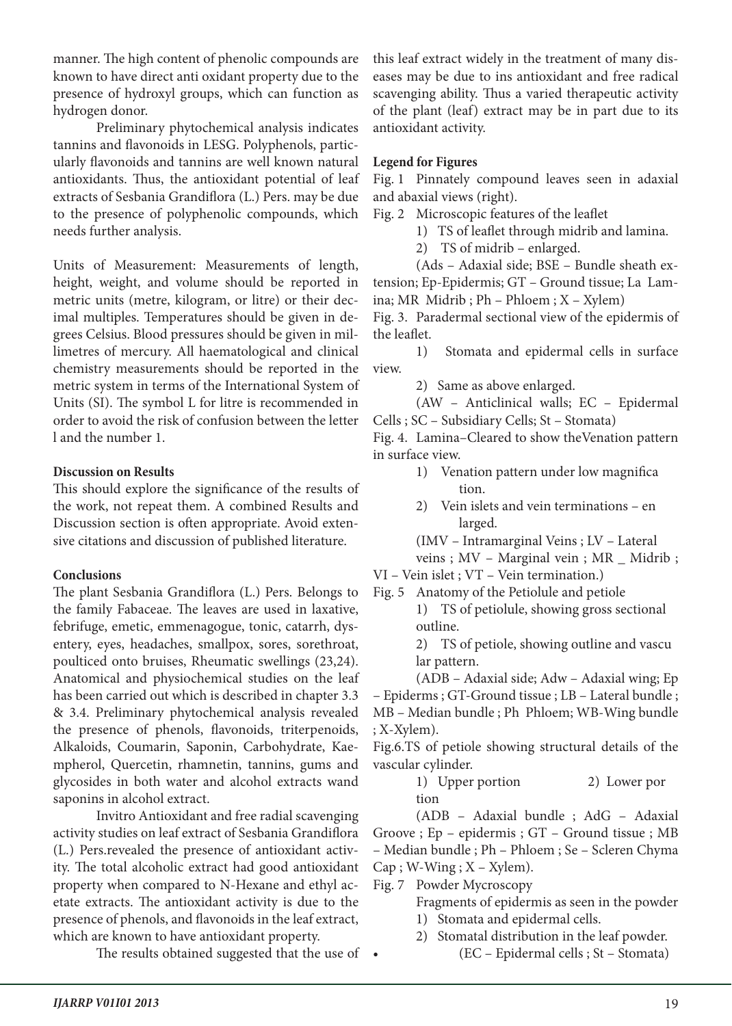manner. The high content of phenolic compounds are known to have direct anti oxidant property due to the presence of hydroxyl groups, which can function as hydrogen donor.

Preliminary phytochemical analysis indicates tannins and flavonoids in LESG. Polyphenols, particularly flavonoids and tannins are well known natural antioxidants. Thus, the antioxidant potential of leaf extracts of Sesbania Grandiflora (L.) Pers. may be due to the presence of polyphenolic compounds, which needs further analysis.

Units of Measurement: Measurements of length, height, weight, and volume should be reported in metric units (metre, kilogram, or litre) or their decimal multiples. Temperatures should be given in degrees Celsius. Blood pressures should be given in millimetres of mercury. All haematological and clinical chemistry measurements should be reported in the metric system in terms of the International System of Units (SI). The symbol L for litre is recommended in order to avoid the risk of confusion between the letter l and the number 1.

#### **Discussion on Results**

This should explore the significance of the results of the work, not repeat them. A combined Results and Discussion section is often appropriate. Avoid extensive citations and discussion of published literature.

# **Conclusions**

The plant Sesbania Grandiflora (L.) Pers. Belongs to the family Fabaceae. The leaves are used in laxative, febrifuge, emetic, emmenagogue, tonic, catarrh, dysentery, eyes, headaches, smallpox, sores, sorethroat, poulticed onto bruises, Rheumatic swellings (23,24). Anatomical and physiochemical studies on the leaf has been carried out which is described in chapter 3.3 & 3.4. Preliminary phytochemical analysis revealed the presence of phenols, flavonoids, triterpenoids, Alkaloids, Coumarin, Saponin, Carbohydrate, Kaempherol, Quercetin, rhamnetin, tannins, gums and glycosides in both water and alcohol extracts wand saponins in alcohol extract.

Invitro Antioxidant and free radial scavenging activity studies on leaf extract of Sesbania Grandiflora (L.) Pers.revealed the presence of antioxidant activity. The total alcoholic extract had good antioxidant property when compared to N-Hexane and ethyl acetate extracts. The antioxidant activity is due to the presence of phenols, and flavonoids in the leaf extract, which are known to have antioxidant property.

The results obtained suggested that the use of •

this leaf extract widely in the treatment of many diseases may be due to ins antioxidant and free radical scavenging ability. Thus a varied therapeutic activity of the plant (leaf) extract may be in part due to its antioxidant activity.

# **Legend for Figures**

Fig. 1 Pinnately compound leaves seen in adaxial and abaxial views (right).

Fig. 2 Microscopic features of the leaflet

1) TS of leaflet through midrib and lamina.

2) TS of midrib – enlarged.

(Ads – Adaxial side; BSE – Bundle sheath extension; Ep-Epidermis; GT – Ground tissue; La Lamina; MR Midrib ; Ph – Phloem ; X – Xylem)

Fig. 3. Paradermal sectional view of the epidermis of the leaflet.

1) Stomata and epidermal cells in surface view.

2) Same as above enlarged.

(AW – Anticlinical walls; EC – Epidermal Cells ; SC – Subsidiary Cells; St – Stomata)

Fig. 4. Lamina–Cleared to show theVenation pattern in surface view.

- 1) Venation pattern under low magnifica tion.
- 2) Vein islets and vein terminations en larged.
- (IMV Intramarginal Veins ; LV Lateral

veins ; MV - Marginal vein ; MR \_ Midrib ;

VI – Vein islet ; VT – Vein termination.)

Fig. 5 Anatomy of the Petiolule and petiole

1) TS of petiolule, showing gross sectional outline.

2) TS of petiole, showing outline and vascu lar pattern.

(ADB – Adaxial side; Adw – Adaxial wing; Ep – Epiderms ; GT-Ground tissue ; LB – Lateral bundle ; MB – Median bundle ; Ph Phloem; WB-Wing bundle ; X-Xylem).

Fig.6.TS of petiole showing structural details of the vascular cylinder.

1) Upper portion 2) Lower por tion

(ADB – Adaxial bundle ; AdG – Adaxial Groove ; Ep – epidermis ; GT – Ground tissue ; MB – Median bundle ; Ph – Phloem ; Se – Scleren Chyma  $Cap$ ; W-Wing ;  $X$  – Xylem).

Fig. 7 Powder Mycroscopy

Fragments of epidermis as seen in the powder

- 1) Stomata and epidermal cells.
- 2) Stomatal distribution in the leaf powder. • (EC – Epidermal cells ; St – Stomata)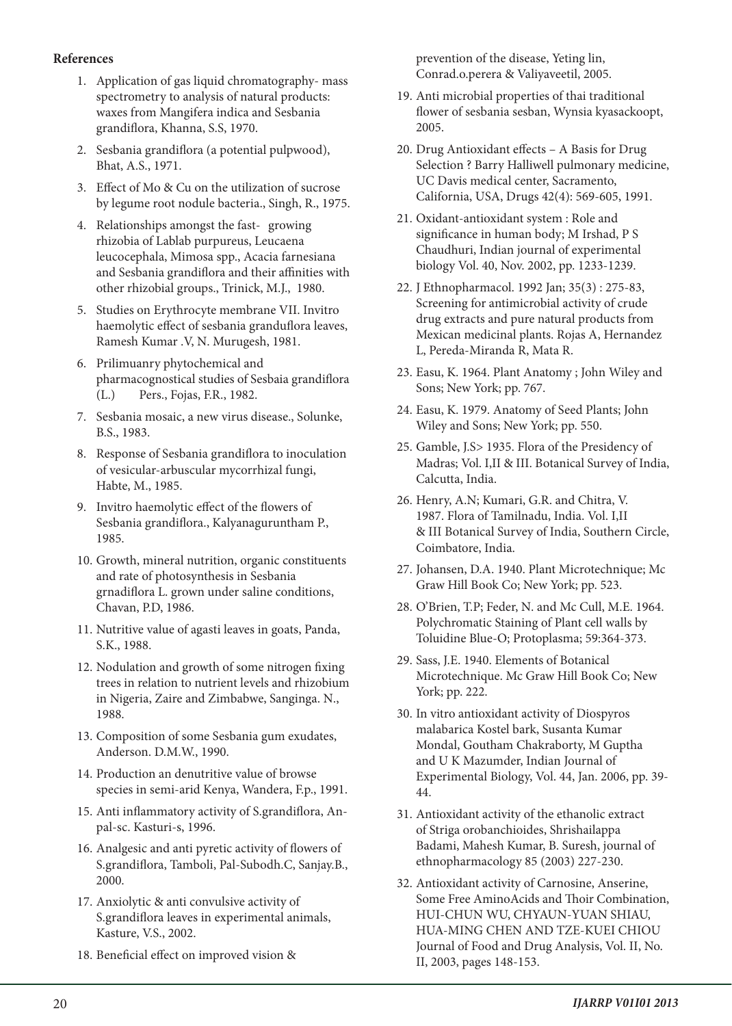#### **References**

- 1. Application of gas liquid chromatography- mass spectrometry to analysis of natural products: waxes from Mangifera indica and Sesbania grandiflora, Khanna, S.S, 1970.
- 2. Sesbania grandiflora (a potential pulpwood), Bhat, A.S., 1971.
- 3. Effect of Mo & Cu on the utilization of sucrose by legume root nodule bacteria., Singh, R., 1975.
- 4. Relationships amongst the fast- growing rhizobia of Lablab purpureus, Leucaena leucocephala, Mimosa spp., Acacia farnesiana and Sesbania grandiflora and their affinities with other rhizobial groups., Trinick, M.J., 1980.
- 5. Studies on Erythrocyte membrane VII. Invitro haemolytic effect of sesbania granduflora leaves, Ramesh Kumar .V, N. Murugesh, 1981.
- 6. Prilimuanry phytochemical and pharmacognostical studies of Sesbaia grandiflora (L.) Pers., Fojas, F.R., 1982.
- 7. Sesbania mosaic, a new virus disease., Solunke, B.S., 1983.
- 8. Response of Sesbania grandiflora to inoculation of vesicular-arbuscular mycorrhizal fungi, Habte, M., 1985.
- 9. Invitro haemolytic effect of the flowers of Sesbania grandiflora., Kalyanaguruntham P., 1985.
- 10. Growth, mineral nutrition, organic constituents and rate of photosynthesis in Sesbania grnadiflora L. grown under saline conditions, Chavan, P.D, 1986.
- 11. Nutritive value of agasti leaves in goats, Panda, S.K., 1988.
- 12. Nodulation and growth of some nitrogen fixing trees in relation to nutrient levels and rhizobium in Nigeria, Zaire and Zimbabwe, Sanginga. N., 1988.
- 13. Composition of some Sesbania gum exudates, Anderson. D.M.W., 1990.
- 14. Production an denutritive value of browse species in semi-arid Kenya, Wandera, F.p., 1991.
- 15. Anti inflammatory activity of S.grandiflora, Anpal-sc. Kasturi-s, 1996.
- 16. Analgesic and anti pyretic activity of flowers of S.grandiflora, Tamboli, Pal-Subodh.C, Sanjay.B., 2000.
- 17. Anxiolytic & anti convulsive activity of S.grandiflora leaves in experimental animals, Kasture, V.S., 2002.
- 18. Beneficial effect on improved vision &

prevention of the disease, Yeting lin, Conrad.o.perera & Valiyaveetil, 2005.

- 19. Anti microbial properties of thai traditional flower of sesbania sesban, Wynsia kyasackoopt, 2005.
- 20. Drug Antioxidant effects A Basis for Drug Selection ? Barry Halliwell pulmonary medicine, UC Davis medical center, Sacramento, California, USA, Drugs 42(4): 569-605, 1991.
- 21. Oxidant-antioxidant system : Role and significance in human body; M Irshad, P S Chaudhuri, Indian journal of experimental biology Vol. 40, Nov. 2002, pp. 1233-1239.
- 22. J Ethnopharmacol. 1992 Jan; 35(3) : 275-83, Screening for antimicrobial activity of crude drug extracts and pure natural products from Mexican medicinal plants. Rojas A, Hernandez L, Pereda-Miranda R, Mata R.
- 23. Easu, K. 1964. Plant Anatomy ; John Wiley and Sons; New York; pp. 767.
- 24. Easu, K. 1979. Anatomy of Seed Plants; John Wiley and Sons; New York; pp. 550.
- 25. Gamble, J.S> 1935. Flora of the Presidency of Madras; Vol. I,II & III. Botanical Survey of India, Calcutta, India.
- 26. Henry, A.N; Kumari, G.R. and Chitra, V. 1987. Flora of Tamilnadu, India. Vol. I,II & III Botanical Survey of India, Southern Circle, Coimbatore, India.
- 27. Johansen, D.A. 1940. Plant Microtechnique; Mc Graw Hill Book Co; New York; pp. 523.
- 28. O'Brien, T.P; Feder, N. and Mc Cull, M.E. 1964. Polychromatic Staining of Plant cell walls by Toluidine Blue-O; Protoplasma; 59:364-373.
- 29. Sass, J.E. 1940. Elements of Botanical Microtechnique. Mc Graw Hill Book Co; New York; pp. 222.
- 30. In vitro antioxidant activity of Diospyros malabarica Kostel bark, Susanta Kumar Mondal, Goutham Chakraborty, M Guptha and U K Mazumder, Indian Journal of Experimental Biology, Vol. 44, Jan. 2006, pp. 39- 44.
- 31. Antioxidant activity of the ethanolic extract of Striga orobanchioides, Shrishailappa Badami, Mahesh Kumar, B. Suresh, journal of ethnopharmacology 85 (2003) 227-230.
- 32. Antioxidant activity of Carnosine, Anserine, Some Free AminoAcids and Thoir Combination, HUI-CHUN WU, CHYAUN-YUAN SHIAU, HUA-MING CHEN AND TZE-KUEI CHIOU Journal of Food and Drug Analysis, Vol. II, No. II, 2003, pages 148-153.